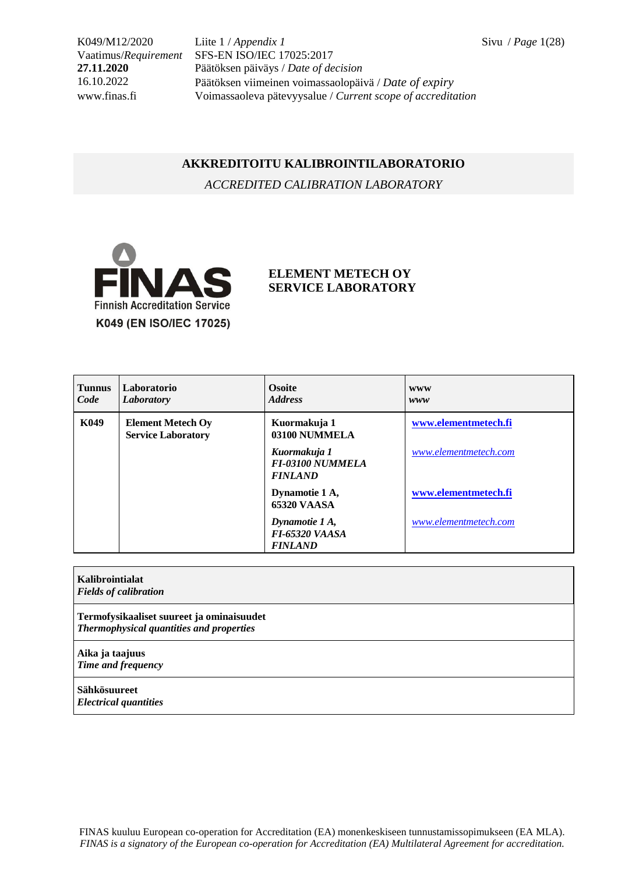K049/M12/2020 Liite 1 / *Appendix 1* Sivu / *Page* 1(28) Vaatimus/*Requirement* SFS-EN ISO/IEC 17025:2017 **27.11.2020** Päätöksen päiväys / *Date of decision* 16.10.2022 Päätöksen viimeinen voimassaolopäivä / *Date of expiry* www.finas.fi Voimassaoleva pätevyysalue / *Current scope of accreditation*

## **AKKREDITOITU KALIBROINTILABORATORIO**

*ACCREDITED CALIBRATION LABORATORY*



## **ELEMENT METECH OY SERVICE LABORATORY**

| <b>Tunnus</b><br>Code | Laboratorio<br>Laboratory                             | <b>Osoite</b><br><b>Address</b>                           | <b>WWW</b><br>www     |
|-----------------------|-------------------------------------------------------|-----------------------------------------------------------|-----------------------|
| K049                  | <b>Element Metech Oy</b><br><b>Service Laboratory</b> | Kuormakuja 1<br>03100 NUMMELA                             | www.elementmetech.fi  |
|                       |                                                       | Kuormakuja 1<br><b>FI-03100 NUMMELA</b><br><b>FINLAND</b> | www.elementmetech.com |
|                       |                                                       | Dynamotie 1 A,<br><b>65320 VAASA</b>                      | www.elementmetech.fi  |
|                       |                                                       | Dynamotie 1 A,<br><b>FI-65320 VAASA</b><br><b>FINLAND</b> | www.elementmetech.com |

**Kalibrointialat** *Fields of calibration*

**Termofysikaaliset suureet ja ominaisuudet** *Thermophysical quantities and properties*

**Aika ja taajuus** *Time and frequency*

**Sähkösuureet** *Electrical quantities*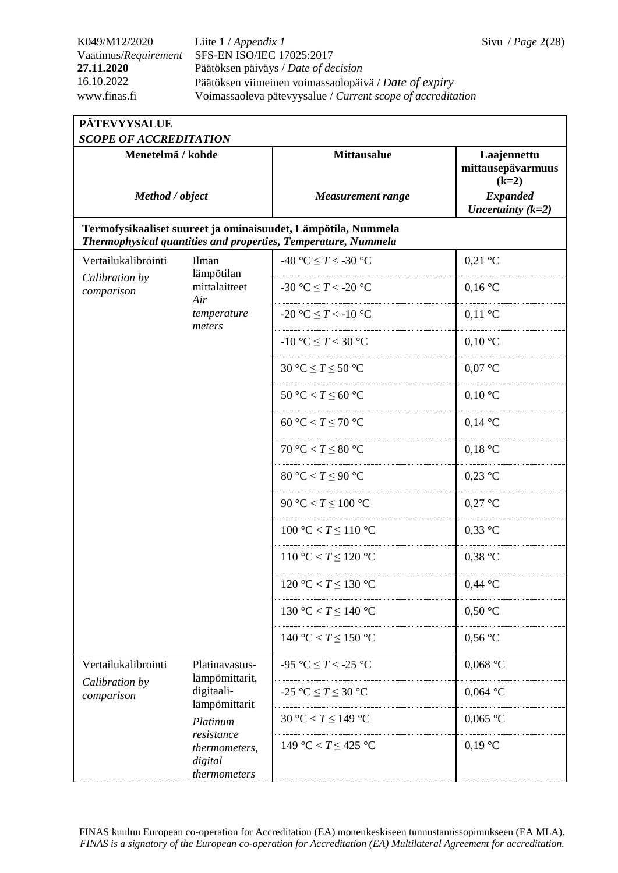| <b>PÄTEVYYSALUE</b>           |                                                        |                                                                                                                                 |                                             |  |
|-------------------------------|--------------------------------------------------------|---------------------------------------------------------------------------------------------------------------------------------|---------------------------------------------|--|
| <b>SCOPE OF ACCREDITATION</b> |                                                        |                                                                                                                                 |                                             |  |
| Menetelmä / kohde             |                                                        | <b>Mittausalue</b>                                                                                                              | Laajennettu<br>mittausepävarmuus<br>$(k=2)$ |  |
| Method / object               |                                                        | <b>Measurement range</b>                                                                                                        | <b>Expanded</b><br>Uncertainty $(k=2)$      |  |
|                               |                                                        | Termofysikaaliset suureet ja ominaisuudet, Lämpötila, Nummela<br>Thermophysical quantities and properties, Temperature, Nummela |                                             |  |
| Vertailukalibrointi           | Ilman<br>lämpötilan                                    | -40 °C $\leq T <$ -30 °C                                                                                                        | $0,21$ °C                                   |  |
| Calibration by<br>comparison  | mittalaitteet<br>Air                                   | -30 °C $\leq T$ < -20 °C                                                                                                        | $0,16\text{ °C}$                            |  |
|                               | temperature<br>meters                                  | -20 °C $\leq T <$ -10 °C                                                                                                        | $0,11\text{ °C}$                            |  |
|                               |                                                        | -10 °C $\leq T < 30$ °C                                                                                                         | $0,10\text{ °C}$                            |  |
|                               |                                                        | 30 °C $\leq T \leq 50$ °C                                                                                                       | $0.07$ °C                                   |  |
|                               |                                                        | $50 °C < T \leq 60 °C$                                                                                                          | $0,10\text{ °C}$                            |  |
|                               |                                                        | 60 °C < $T \leq 70$ °C                                                                                                          | $0,14\text{ °C}$                            |  |
|                               |                                                        | $70 °C < T \leq 80 °C$                                                                                                          | $0,18$ °C                                   |  |
|                               |                                                        | 80 °C < $T \leq 90$ °C                                                                                                          | $0.23$ °C                                   |  |
|                               |                                                        | 90 °C < $T \leq 100$ °C                                                                                                         | $0,27$ °C                                   |  |
|                               |                                                        | 100 °C < $T \leq 110$ °C                                                                                                        | $0.33$ °C                                   |  |
|                               |                                                        | 110 °C < $T \le 120$ °C                                                                                                         | $0,38$ °C                                   |  |
|                               |                                                        | 120 °C < $T \le 130$ °C                                                                                                         | $0,44$ °C                                   |  |
|                               |                                                        | 130 °C < $T \le 140$ °C                                                                                                         | $0,50$ °C                                   |  |
|                               |                                                        | 140 °C < $T \le 150$ °C                                                                                                         | $0,56$ °C                                   |  |
| Vertailukalibrointi           | Platinavastus-<br>lämpömittarit,                       | -95 °C $\leq T$ < -25 °C                                                                                                        | $0,068$ °C                                  |  |
| Calibration by<br>comparison  | digitaali-<br>lämpömittarit                            | $-25$ °C $\leq T \leq 30$ °C                                                                                                    | $0,064$ °C                                  |  |
|                               | Platinum                                               | 30 °C < $T \leq 149$ °C                                                                                                         | $0,065$ °C                                  |  |
|                               | resistance<br>thermometers,<br>digital<br>thermometers | 149 °C < $T \leq 425$ °C                                                                                                        | $0,19$ °C                                   |  |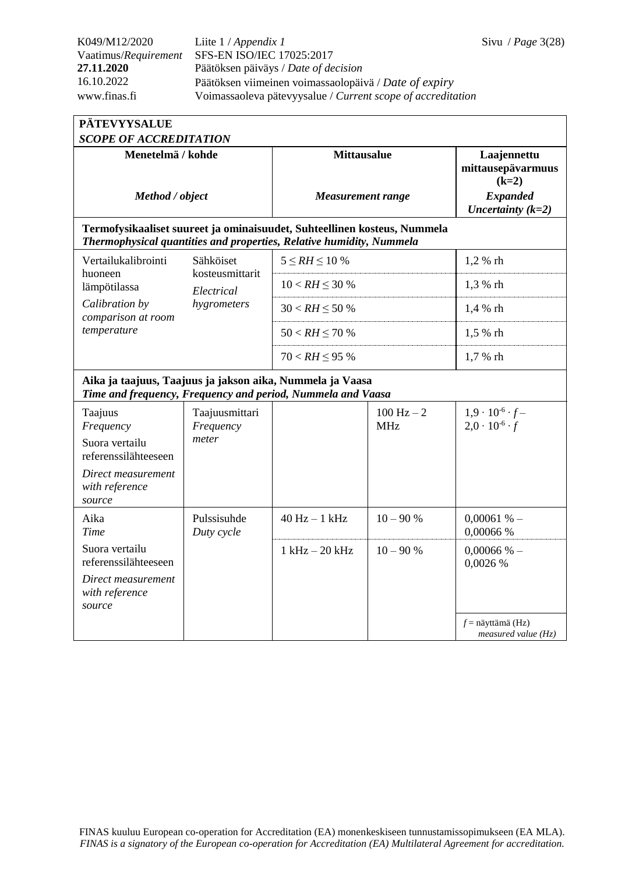*measured value (Hz)*

| <b>PÄTEVYYSALUE</b>                                                                                                                              |                                      |                                                |                            |                                                                                       |  |
|--------------------------------------------------------------------------------------------------------------------------------------------------|--------------------------------------|------------------------------------------------|----------------------------|---------------------------------------------------------------------------------------|--|
| <b>SCOPE OF ACCREDITATION</b>                                                                                                                    |                                      |                                                |                            |                                                                                       |  |
| Menetelmä / kohde<br>Method / object                                                                                                             |                                      | <b>Mittausalue</b><br><b>Measurement range</b> |                            | Laajennettu<br>mittausepävarmuus<br>$(k=2)$<br><b>Expanded</b><br>Uncertainty $(k=2)$ |  |
| Termofysikaaliset suureet ja ominaisuudet, Suhteellinen kosteus, Nummela<br>Thermophysical quantities and properties, Relative humidity, Nummela |                                      |                                                |                            |                                                                                       |  |
| Vertailukalibrointi<br>huoneen                                                                                                                   | Sähköiset<br>kosteusmittarit         | $5 \leq RH \leq 10\%$                          |                            | 1,2 % rh                                                                              |  |
| lämpötilassa                                                                                                                                     | Electrical                           | $10 < RH \leq 30 \%$                           |                            | 1,3 % rh                                                                              |  |
| Calibration by<br>comparison at room                                                                                                             | hygrometers                          | $30 < RH \le 50 \%$                            |                            | 1,4 % rh                                                                              |  |
| temperature                                                                                                                                      |                                      | $50 < RH \le 70$ %                             |                            | 1,5 % rh                                                                              |  |
|                                                                                                                                                  |                                      | $70 < RH \leq 95%$                             |                            | 1,7 % rh                                                                              |  |
| Aika ja taajuus, Taajuus ja jakson aika, Nummela ja Vaasa<br>Time and frequency, Frequency and period, Nummela and Vaasa                         |                                      |                                                |                            |                                                                                       |  |
| Taajuus<br>Frequency<br>Suora vertailu<br>referenssilähteeseen<br>Direct measurement<br>with reference<br>source                                 | Taajuusmittari<br>Frequency<br>meter |                                                | $100 Hz - 2$<br><b>MHz</b> | $1,9 \cdot 10^{-6} \cdot f -$<br>$2.0 \cdot 10^{-6} \cdot f$                          |  |
| Aika<br><b>Time</b>                                                                                                                              | Pulssisuhde<br>Duty cycle            | $40$ Hz $-1$ kHz                               | $10 - 90%$                 | 0,00061%<br>0,00066 %                                                                 |  |
| Suora vertailu<br>referenssilähteeseen<br>Direct measurement<br>with reference<br>source                                                         |                                      | $1$ kHz $-$ 20 kHz                             | $10 - 90%$                 | $0,00066%$ -<br>0,0026 %<br>$f$ = näyttämä (Hz)                                       |  |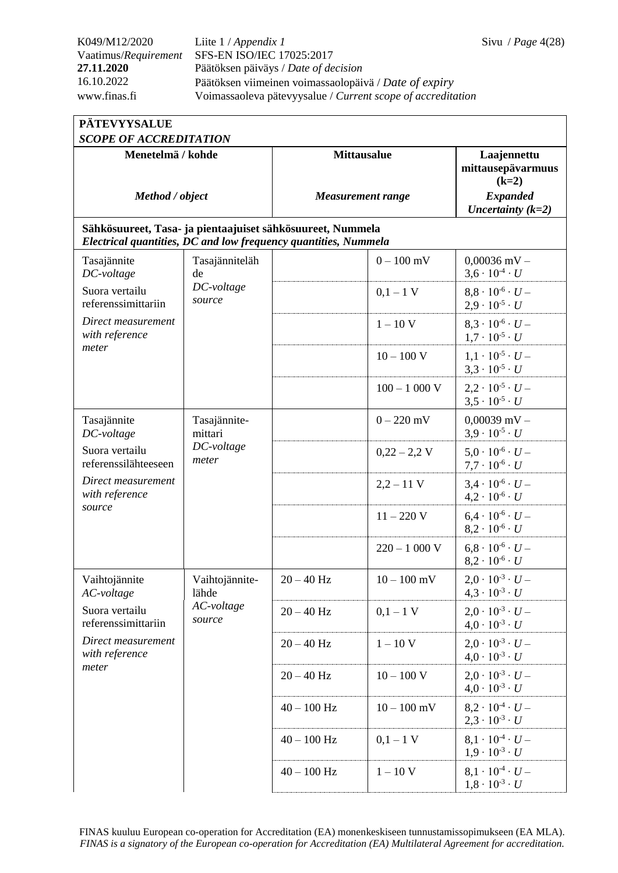Vaatimus/*Requirement* SFS-EN ISO/IEC 17025:2017 **27.11.2020** Päätöksen päiväys / *Date of decision* 16.10.2022 Päätöksen viimeinen voimassaolopäivä / *Date of expiry* www.finas.fi Voimassaoleva pätevyysalue / *Current scope of accreditation*

| <b>PÄTEVYYSALUE</b>                                                                                                           |                                                |                    |                          |                                                              |  |  |
|-------------------------------------------------------------------------------------------------------------------------------|------------------------------------------------|--------------------|--------------------------|--------------------------------------------------------------|--|--|
| <b>SCOPE OF ACCREDITATION</b>                                                                                                 |                                                |                    |                          |                                                              |  |  |
| Menetelmä / kohde                                                                                                             |                                                | <b>Mittausalue</b> |                          | Laajennettu<br>mittausepävarmuus<br>$(k=2)$                  |  |  |
| Method / object                                                                                                               |                                                |                    | <b>Measurement range</b> | <b>Expanded</b><br>Uncertainty $(k=2)$                       |  |  |
| Sähkösuureet, Tasa- ja pientaajuiset sähkösuureet, Nummela<br>Electrical quantities, DC and low frequency quantities, Nummela |                                                |                    |                          |                                                              |  |  |
| Tasajännite<br>DC-voltage                                                                                                     | Tasajänniteläh<br>de                           |                    | $0 - 100$ mV             | $0,00036$ mV $-$<br>$3.6 \cdot 10^{-4} \cdot U$              |  |  |
| Suora vertailu<br>referenssimittariin                                                                                         | DC-voltage<br>source                           |                    | $0,1-1$ V                | $8.8 \cdot 10^{-6} \cdot U -$<br>$2.9 \cdot 10^{-5} \cdot U$ |  |  |
| Direct measurement<br>with reference                                                                                          |                                                |                    | $1 - 10$ V               | $8.3 \cdot 10^{-6} \cdot U -$<br>$1.7 \cdot 10^{-5} \cdot U$ |  |  |
| meter                                                                                                                         |                                                |                    | $10 - 100$ V             | $1,1 \cdot 10^{-5} \cdot U -$<br>$3.3 \cdot 10^{-5} \cdot U$ |  |  |
|                                                                                                                               |                                                |                    | $100 - 1000$ V           | $2,2 \cdot 10^{-5} \cdot U -$<br>$3,5 \cdot 10^{-5} \cdot U$ |  |  |
| Tasajännite<br>DC-voltage                                                                                                     | Tasajännite-<br>mittari<br>DC-voltage<br>meter |                    | $0 - 220$ mV             | $0,00039$ mV -<br>$3.9 \cdot 10^{-5} \cdot U$                |  |  |
| Suora vertailu<br>referenssilähteeseen                                                                                        |                                                |                    | $0,22 - 2,2$ V           | $5.0 \cdot 10^{-6} \cdot U -$<br>$7.7 \cdot 10^{-6} \cdot U$ |  |  |
| Direct measurement<br>with reference                                                                                          |                                                |                    | $2,2 - 11$ V             | $3.4 \cdot 10^{-6} \cdot U -$<br>$4.2 \cdot 10^{-6} \cdot U$ |  |  |
| source                                                                                                                        |                                                |                    | $11 - 220$ V             | $6.4 \cdot 10^{-6} \cdot U -$<br>$8.2 \cdot 10^{-6} \cdot U$ |  |  |
|                                                                                                                               |                                                |                    | $220 - 1000$ V           | $6.8 \cdot 10^{-6} \cdot U -$<br>$8,2 \cdot 10^{-6} \cdot U$ |  |  |
| Vaihtojännite<br>AC-voltage                                                                                                   | Vaihtojännite-<br>lähde                        | $20 - 40$ Hz       | $10 - 100$ mV            | $2,0 \cdot 10^{-3} \cdot U -$<br>$4.3 \cdot 10^{-3} \cdot U$ |  |  |
| Suora vertailu<br>referenssimittariin                                                                                         | AC-voltage<br>source                           | $20 - 40$ Hz       | $0,1-1$ V                | $2.0 \cdot 10^{-3} \cdot U -$<br>$4.0 \cdot 10^{-3} \cdot U$ |  |  |
| Direct measurement<br>with reference                                                                                          |                                                | $20 - 40$ Hz       | $1 - 10$ V               | $2.0 \cdot 10^{-3} \cdot U -$<br>$4.0 \cdot 10^{-3} \cdot U$ |  |  |
| meter                                                                                                                         |                                                | $20 - 40$ Hz       | $10 - 100$ V             | $2.0 \cdot 10^{-3} \cdot U -$<br>$4.0 \cdot 10^{-3} \cdot U$ |  |  |
|                                                                                                                               |                                                | $40 - 100$ Hz      | $10 - 100$ mV            | $8.2 \cdot 10^{-4} \cdot U -$<br>$2.3 \cdot 10^{-3} \cdot U$ |  |  |
|                                                                                                                               |                                                | $40 - 100$ Hz      | $0,1-1$ V                | $8.1 \cdot 10^{-4} \cdot U -$<br>$1.9 \cdot 10^{-3} \cdot U$ |  |  |
|                                                                                                                               |                                                | $40 - 100$ Hz      | $1-10$ V                 | $8.1 \cdot 10^{-4} \cdot U -$<br>$1,8 \cdot 10^{-3} \cdot U$ |  |  |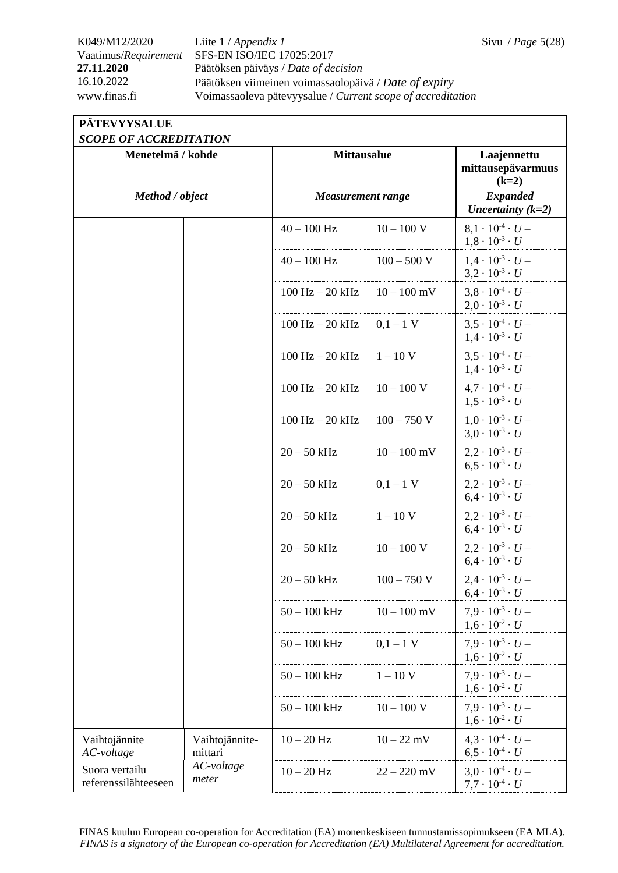## K049/M12/2020 Liite 1 / *Appendix 1* Sivu / *Page* 5(28) Vaatimus/*Requirement* SFS-EN ISO/IEC 17025:2017 **27.11.2020** Päätöksen päiväys / *Date of decision* 16.10.2022 Päätöksen viimeinen voimassaolopäivä / *Date of expiry* www.finas.fi Voimassaoleva pätevyysalue / *Current scope of accreditation*

| <b>SCOPE OF ACCREDITATION</b>          |                           |                          |               |                                                              |  |
|----------------------------------------|---------------------------|--------------------------|---------------|--------------------------------------------------------------|--|
| Menetelmä / kohde                      |                           | <b>Mittausalue</b>       |               | Laajennettu<br>mittausepävarmuus<br>$(k=2)$                  |  |
| Method / object                        |                           | <b>Measurement range</b> |               | <b>Expanded</b><br>Uncertainty $(k=2)$                       |  |
|                                        |                           | $40 - 100$ Hz            | $10 - 100$ V  | $8.1 \cdot 10^{-4} \cdot U -$<br>$1,8 \cdot 10^{-3} \cdot U$ |  |
|                                        |                           | $40 - 100$ Hz            | $100 - 500$ V | $1.4 \cdot 10^{-3} \cdot U -$<br>$3.2 \cdot 10^{-3} \cdot U$ |  |
|                                        |                           | $100$ Hz $- 20$ kHz      | $10 - 100$ mV | $3.8 \cdot 10^{-4} \cdot U -$<br>$2.0 \cdot 10^{-3} \cdot U$ |  |
|                                        |                           | $100$ Hz $- 20$ kHz      | $0,1-1$ V     | $3.5 \cdot 10^{-4} \cdot U -$<br>$1.4 \cdot 10^{-3} \cdot U$ |  |
|                                        |                           | $100$ Hz $- 20$ kHz      | $1 - 10$ V    | $3.5 \cdot 10^{-4} \cdot U -$<br>$1.4 \cdot 10^{-3} \cdot U$ |  |
|                                        |                           | $100$ Hz $- 20$ kHz      | $10 - 100$ V  | $4.7 \cdot 10^{-4} \cdot U -$<br>$1.5 \cdot 10^{-3} \cdot U$ |  |
|                                        |                           | $100$ Hz $- 20$ kHz      | $100 - 750$ V | $1.0 \cdot 10^{-3} \cdot U -$<br>$3.0 \cdot 10^{-3} \cdot U$ |  |
|                                        |                           | $20 - 50$ kHz            | $10 - 100$ mV | $2.2 \cdot 10^{-3} \cdot U -$<br>$6.5 \cdot 10^{-3} \cdot U$ |  |
|                                        |                           | $20 - 50$ kHz            | $0,1-1$ V     | $2.2 \cdot 10^{-3} \cdot U -$<br>$6.4 \cdot 10^{-3} \cdot U$ |  |
|                                        |                           | $20 - 50$ kHz            | $1 - 10$ V    | $2.2 \cdot 10^{-3} \cdot U -$<br>$6.4 \cdot 10^{-3} \cdot U$ |  |
|                                        |                           | $20 - 50$ kHz            | $10 - 100$ V  | $2.2 \cdot 10^{-3} \cdot U -$<br>$6.4 \cdot 10^{-3} \cdot U$ |  |
|                                        |                           | $20 - 50$ kHz            | $100 - 750$ V | $2.4 \cdot 10^{-3} \cdot U -$<br>$6.4 \cdot 10^{-3} \cdot U$ |  |
|                                        |                           | $50 - 100$ kHz           | $10 - 100$ mV | $7.9 \cdot 10^{-3} \cdot U -$<br>$1,6 \cdot 10^{-2} \cdot U$ |  |
|                                        |                           | $50 - 100$ kHz           | $0,1-1$ V     | $7.9 \cdot 10^{-3} \cdot U -$<br>$1,6 \cdot 10^{-2} \cdot U$ |  |
|                                        |                           | $50 - 100$ kHz           | $1 - 10$ V    | $7.9 \cdot 10^{-3} \cdot U -$<br>$1,6 \cdot 10^{-2} \cdot U$ |  |
|                                        |                           | $50 - 100$ kHz           | $10 - 100$ V  | $7.9 \cdot 10^{-3} \cdot U -$<br>$1,6 \cdot 10^{-2} \cdot U$ |  |
| Vaihtojännite<br>AC-voltage            | Vaihtojännite-<br>mittari | $10 - 20$ Hz             | $10 - 22$ mV  | $4.3 \cdot 10^{-4} \cdot U -$<br>$6.5 \cdot 10^{-4} \cdot U$ |  |
| Suora vertailu<br>referenssilähteeseen | AC-voltage<br>meter       | $10 - 20$ Hz             | $22 - 220$ mV | $3.0 \cdot 10^{-4} \cdot U -$<br>$7.7 \cdot 10^{-4} \cdot U$ |  |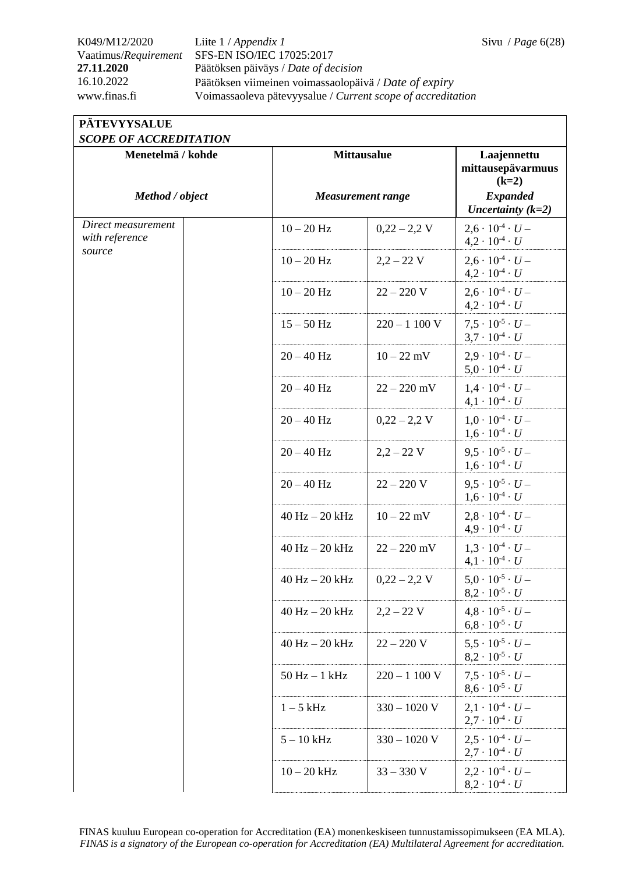## K049/M12/2020 Liite 1 / *Appendix 1* Sivu / *Page* 6(28) Vaatimus/*Requirement* SFS-EN ISO/IEC 17025:2017 **27.11.2020** Päätöksen päiväys / *Date of decision* 16.10.2022 Päätöksen viimeinen voimassaolopäivä / *Date of expiry* www.finas.fi Voimassaoleva pätevyysalue / *Current scope of accreditation*

| <b>PATEVYYSALUE</b>    |
|------------------------|
| SCOPE OF ACCREDITATION |

| JUULE UF AUUREDHAHUIV<br>Menetelmä / kohde |                          | <b>Mittausalue</b> |                                                              |
|--------------------------------------------|--------------------------|--------------------|--------------------------------------------------------------|
| Method / object                            | <b>Measurement range</b> |                    | $(k=2)$<br><b>Expanded</b><br>Uncertainty $(k=2)$            |
| Direct measurement<br>with reference       | $10 - 20$ Hz             | $0,22 - 2,2$ V     | $2.6 \cdot 10^{-4} \cdot U -$<br>$4.2 \cdot 10^{-4} \cdot U$ |
| source                                     | $10 - 20$ Hz             | $2,2 - 22$ V       | $2.6 \cdot 10^{-4} \cdot U -$<br>$4.2 \cdot 10^{-4} \cdot U$ |
|                                            | $10 - 20$ Hz             | $22 - 220$ V       | $2.6 \cdot 10^{-4} \cdot U -$<br>$4,2 \cdot 10^{-4} \cdot U$ |
|                                            | $15 - 50$ Hz             | $220 - 1100$ V     | $7.5 \cdot 10^{-5} \cdot U -$<br>$3.7 \cdot 10^{-4} \cdot U$ |
|                                            | $20 - 40$ Hz             | $10 - 22$ mV       | $2.9 \cdot 10^{-4} \cdot U -$<br>$5.0 \cdot 10^{-4} \cdot U$ |
|                                            | $20 - 40$ Hz             | $22 - 220$ mV      | $1.4 \cdot 10^{-4} \cdot U -$<br>$4.1 \cdot 10^{-4} \cdot U$ |
|                                            | $20 - 40$ Hz             | $0,22 - 2,2$ V     | $1.0 \cdot 10^{-4} \cdot U -$<br>$1.6 \cdot 10^{-4} \cdot U$ |
|                                            | $20 - 40$ Hz             | $2,2 - 22$ V       | $9.5 \cdot 10^{-5} \cdot U -$<br>$1,6 \cdot 10^{-4} \cdot U$ |
|                                            | $20 - 40$ Hz             | $22 - 220$ V       | $9.5 \cdot 10^{-5} \cdot U -$<br>$1.6 \cdot 10^{-4} \cdot U$ |
|                                            | $40$ Hz $- 20$ kHz       | $10 - 22$ mV       | $2.8 \cdot 10^{-4} \cdot U -$<br>$4.9 \cdot 10^{-4} \cdot U$ |
|                                            | $40$ Hz $- 20$ kHz       | $22 - 220$ mV      | $1,3 \cdot 10^{-4} \cdot U -$<br>$4,1 \cdot 10^{-4} \cdot U$ |
|                                            | $40$ Hz $- 20$ kHz       | $0,22 - 2,2$ V     | $5.0 \cdot 10^{-5} \cdot U -$<br>$8,2 \cdot 10^{-5} \cdot U$ |
|                                            | $40$ Hz $- 20$ kHz       | $2,2 - 22$ V       | $4.8 \cdot 10^{-5} \cdot U -$<br>$6.8 \cdot 10^{-5} \cdot U$ |
|                                            | $40$ Hz $- 20$ kHz       | $22 - 220 V$       | $5.5 \cdot 10^{-5} \cdot U -$<br>$8.2 \cdot 10^{-5} \cdot U$ |
|                                            | $50$ Hz $-1$ kHz         | $220 - 1100$ V     | $7.5 \cdot 10^{-5} \cdot U -$<br>$8.6 \cdot 10^{-5} \cdot U$ |
|                                            | $1-5$ kHz                | $330 - 1020$ V     | $2.1 \cdot 10^{-4} \cdot U -$<br>$2.7 \cdot 10^{-4} \cdot U$ |
|                                            | $5 - 10$ kHz             | $330 - 1020$ V     | $2.5 \cdot 10^{-4} \cdot U -$<br>$2.7 \cdot 10^{-4} \cdot U$ |
|                                            | $10-20$ kHz              | $33 - 330$ V       | $2.2 \cdot 10^{-4} \cdot U -$<br>$8.2 \cdot 10^{-4} \cdot U$ |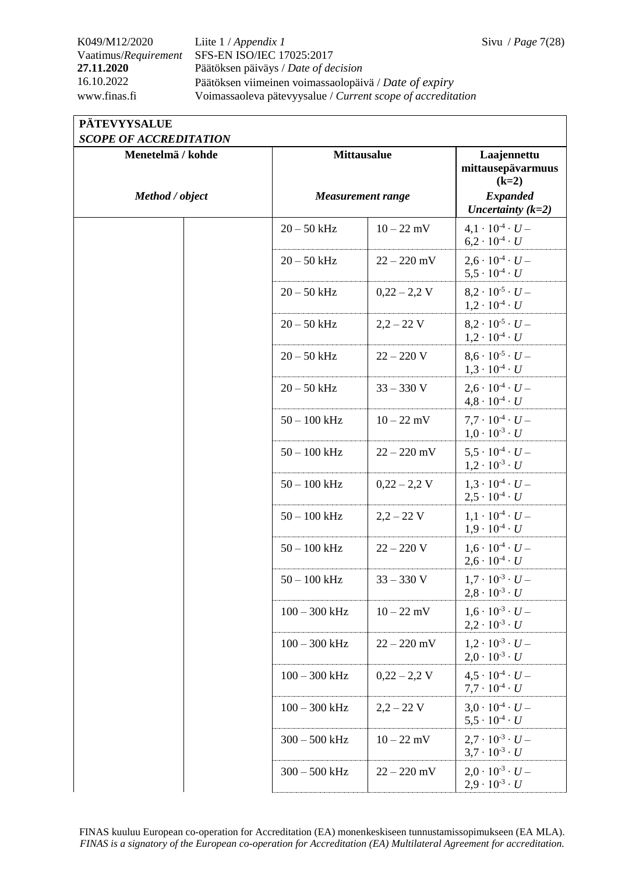## K049/M12/2020 Liite 1 / *Appendix 1* Sivu / *Page* 7(28) Vaatimus/*Requirement* SFS-EN ISO/IEC 17025:2017 **27.11.2020** Päätöksen päiväys / *Date of decision* 16.10.2022 Päätöksen viimeinen voimassaolopäivä / *Date of expiry* www.finas.fi Voimassaoleva pätevyysalue / *Current scope of accreditation*

### **PÄTEVYYSALUE**  *SCOPE OF ACCREDITATION*

| SCOPE OF ACCREDITATION<br>Menetelmä / kohde | <b>Mittausalue</b>       |                | Laajennettu                                                  |
|---------------------------------------------|--------------------------|----------------|--------------------------------------------------------------|
|                                             |                          |                | mittausepävarmuus<br>$(k=2)$                                 |
| Method / object                             | <b>Measurement range</b> |                | <b>Expanded</b><br>Uncertainty $(k=2)$                       |
|                                             | $20 - 50$ kHz            | $10 - 22$ mV   | $4.1 \cdot 10^{-4} \cdot U -$<br>$6.2 \cdot 10^{-4} \cdot U$ |
|                                             | $20 - 50$ kHz            | $22 - 220$ mV  | $2.6 \cdot 10^{-4} \cdot U -$<br>$5.5 \cdot 10^{-4} \cdot U$ |
|                                             | $20 - 50$ kHz            | $0,22 - 2,2$ V | $8.2 \cdot 10^{-5} \cdot U -$<br>$1,2 \cdot 10^{-4} \cdot U$ |
|                                             | $20 - 50$ kHz            | $2,2 - 22$ V   | $8.2 \cdot 10^{-5} \cdot U -$<br>$1,2 \cdot 10^{-4} \cdot U$ |
|                                             | $20 - 50$ kHz            | $22 - 220$ V   | $8.6 \cdot 10^{-5} \cdot U -$<br>$1,3 \cdot 10^{-4} \cdot U$ |
|                                             | $20 - 50$ kHz            | $33 - 330$ V   | $2.6 \cdot 10^{-4} \cdot U -$<br>$4.8 \cdot 10^{-4} \cdot U$ |
|                                             | $50 - 100$ kHz           | $10 - 22$ mV   | $7.7 \cdot 10^{-4} \cdot U -$<br>$1.0 \cdot 10^{-3} \cdot U$ |
|                                             | $50 - 100$ kHz           | $22 - 220$ mV  | $5.5 \cdot 10^{-4} \cdot U -$<br>$1,2 \cdot 10^{-3} \cdot U$ |
|                                             | $50 - 100$ kHz           | $0,22 - 2,2$ V | $1.3 \cdot 10^{-4} \cdot U -$<br>$2.5 \cdot 10^{-4} \cdot U$ |
|                                             | $50 - 100$ kHz           | $2,2 - 22$ V   | $1,1 \cdot 10^{-4} \cdot U -$<br>$1.9 \cdot 10^{-4} \cdot U$ |
|                                             | $50 - 100$ kHz           | $22 - 220$ V   | $1.6 \cdot 10^{-4} \cdot U -$<br>$2.6 \cdot 10^{-4} \cdot U$ |
|                                             | $50 - 100$ kHz           | $33 - 330$ V   | $1.7 \cdot 10^{-3} \cdot U -$<br>$2,8 \cdot 10^{-3} \cdot U$ |
|                                             | $100 - 300$ kHz          | $10 - 22$ mV   | $1,6 \cdot 10^{-3} \cdot U -$<br>$2.2 \cdot 10^{-3} \cdot U$ |
|                                             | $100 - 300$ kHz          | $22 - 220$ mV  | $1.2 \cdot 10^{-3} \cdot U -$<br>$2.0 \cdot 10^{-3} \cdot U$ |
|                                             | $100 - 300$ kHz          | $0,22 - 2,2$ V | $4.5 \cdot 10^{-4} \cdot U -$<br>$7.7 \cdot 10^{-4} \cdot U$ |
|                                             | $100 - 300$ kHz          | $2,2 - 22$ V   | $3.0 \cdot 10^{-4} \cdot U -$<br>$5.5 \cdot 10^{-4} \cdot U$ |
|                                             | $300 - 500$ kHz          | $10 - 22$ mV   | $2.7 \cdot 10^{-3} \cdot U -$<br>$3.7 \cdot 10^{-3} \cdot U$ |
|                                             | $300 - 500$ kHz          | $22 - 220$ mV  | $2.0 \cdot 10^{-3} \cdot U -$<br>$2,9 \cdot 10^{-3} \cdot U$ |

FINAS kuuluu European co-operation for Accreditation (EA) monenkeskiseen tunnustamissopimukseen (EA MLA). *FINAS is a signatory of the European co-operation for Accreditation (EA) Multilateral Agreement for accreditation.*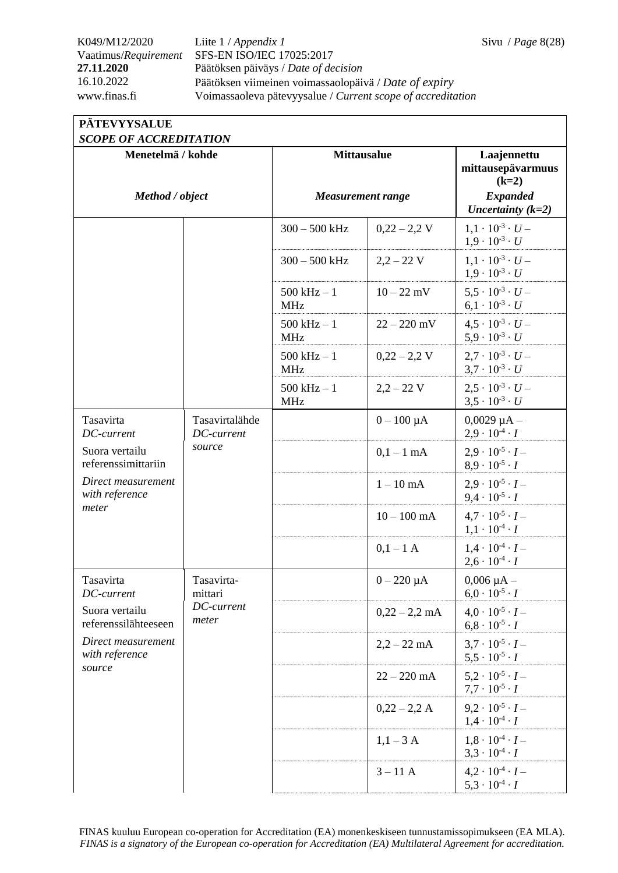## K049/M12/2020 Liite 1 / *Appendix 1* Sivu / *Page* 8(28) Vaatimus/*Requirement* SFS-EN ISO/IEC 17025:2017 **27.11.2020** Päätöksen päiväys / *Date of decision* 16.10.2022 Päätöksen viimeinen voimassaolopäivä / *Date of expiry* www.finas.fi Voimassaoleva pätevyysalue / *Current scope of accreditation*

## **PÄTEVYYSALUE**

| <b>SCOPE OF ACCREDITATION</b>          |                                              |                              |                 |                                                              |  |
|----------------------------------------|----------------------------------------------|------------------------------|-----------------|--------------------------------------------------------------|--|
| Menetelmä / kohde                      |                                              | <b>Mittausalue</b>           |                 | Laajennettu<br>mittausepävarmuus<br>$(k=2)$                  |  |
| Method / object                        |                                              | <b>Measurement range</b>     |                 | <b>Expanded</b><br>Uncertainty $(k=2)$                       |  |
|                                        |                                              | $300 - 500$ kHz              | $0,22 - 2,2$ V  | $1.1 \cdot 10^{-3} \cdot U -$<br>$1.9 \cdot 10^{-3} \cdot U$ |  |
|                                        |                                              | $300 - 500$ kHz              | $2,2 - 22$ V    | $1.1 \cdot 10^{-3} \cdot U -$<br>$1.9 \cdot 10^{-3} \cdot U$ |  |
|                                        |                                              | $500$ kHz $-1$<br><b>MHz</b> | $10 - 22$ mV    | $5.5 \cdot 10^{-3} \cdot U -$<br>$6.1 \cdot 10^{-3} \cdot U$ |  |
|                                        |                                              | $500$ kHz $-1$<br><b>MHz</b> | $22 - 220$ mV   | $4.5 \cdot 10^{-3} \cdot U -$<br>$5.9 \cdot 10^{-3} \cdot U$ |  |
|                                        |                                              | $500$ kHz $-1$<br><b>MHz</b> | $0,22 - 2,2$ V  | $2.7 \cdot 10^{-3} \cdot U -$<br>$3.7 \cdot 10^{-3} \cdot U$ |  |
|                                        |                                              | $500$ kHz $-1$<br><b>MHz</b> | $2,2 - 22$ V    | $2.5 \cdot 10^{-3} \cdot U -$<br>$3.5 \cdot 10^{-3} \cdot U$ |  |
| Tasavirta<br>DC-current                | Tasavirtalähde<br>DC-current<br>source       |                              | $0 - 100 \mu A$ | $0,0029 \mu A -$<br>$2.9 \cdot 10^{-4} \cdot I$              |  |
| Suora vertailu<br>referenssimittariin  |                                              |                              | $0,1-1$ mA      | $2.9 \cdot 10^{-5} \cdot I -$<br>$8.9 \cdot 10^{-5} \cdot I$ |  |
| Direct measurement<br>with reference   |                                              |                              | $1-10$ mA       | $2.9 \cdot 10^{-5} \cdot I -$<br>$9.4 \cdot 10^{-5} \cdot I$ |  |
| meter                                  |                                              |                              | $10 - 100$ mA   | $4.7 \cdot 10^{-5} \cdot I -$<br>$1,1 \cdot 10^{-4} \cdot I$ |  |
|                                        |                                              |                              | $0,1-1$ A       | $1.4 \cdot 10^{-4} \cdot I -$<br>$2,6 \cdot 10^{-4} \cdot I$ |  |
| Tasavirta<br>DC-current                | Tasavirta-<br>mittari<br>DC-current<br>meter |                              | $0 - 220 \mu A$ | $0,006 \mu A -$<br>$6.0 \cdot 10^{-5} \cdot I$               |  |
| Suora vertailu<br>referenssilähteeseen |                                              |                              | $0,22 - 2,2$ mA | $4.0 \cdot 10^{-5} \cdot I -$<br>$6.8 \cdot 10^{-5} \cdot I$ |  |
| Direct measurement<br>with reference   |                                              |                              | $2,2 - 22$ mA   | $3.7 \cdot 10^{-5} \cdot I -$<br>$5.5 \cdot 10^{-5} \cdot I$ |  |
| source                                 |                                              |                              | $22 - 220$ mA   | $5.2 \cdot 10^{-5} \cdot I -$<br>$7.7 \cdot 10^{-5} \cdot I$ |  |
|                                        |                                              |                              | $0,22 - 2,2 A$  | $9.2 \cdot 10^{-5} \cdot I -$<br>$1.4 \cdot 10^{-4} \cdot I$ |  |
|                                        |                                              |                              | $1,1-3$ A       | $1.8 \cdot 10^{-4} \cdot I -$<br>$3.3 \cdot 10^{-4} \cdot I$ |  |
|                                        |                                              |                              | $3 - 11$ A      | $4.2 \cdot 10^{-4} \cdot I -$<br>$5,3 \cdot 10^{-4} \cdot I$ |  |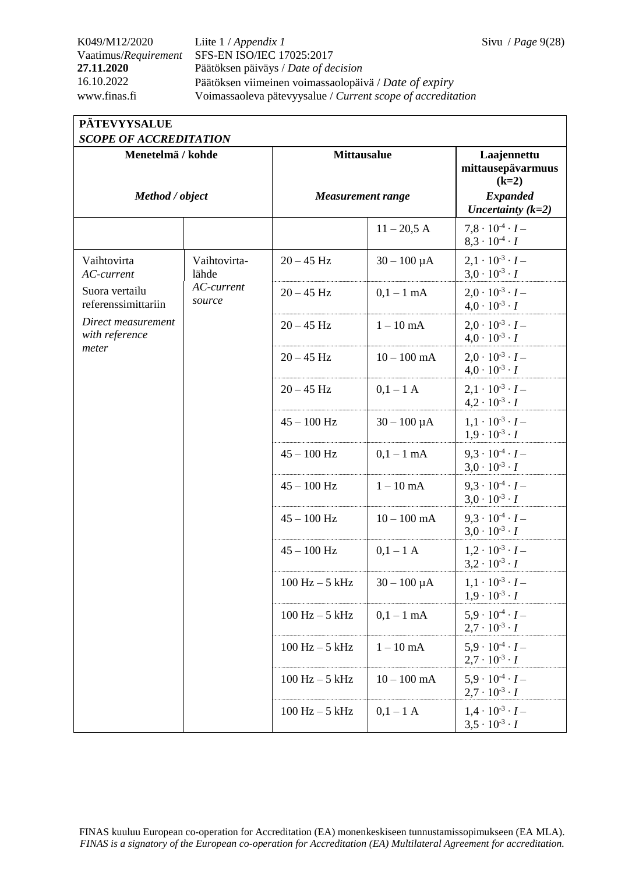## K049/M12/2020 Liite 1 / *Appendix 1* Sivu / *Page* 9(28) Vaatimus/*Requirement* SFS-EN ISO/IEC 17025:2017 **27.11.2020** Päätöksen päiväys / *Date of decision* 16.10.2022 Päätöksen viimeinen voimassaolopäivä / *Date of expiry* www.finas.fi Voimassaoleva pätevyysalue / *Current scope of accreditation*

## **PÄTEVYYSALUE**

| <b>SCOPE OF ACCREDITATION</b>         |                       |                                                |                  |                                                              |  |
|---------------------------------------|-----------------------|------------------------------------------------|------------------|--------------------------------------------------------------|--|
| Menetelmä / kohde<br>Method / object  |                       | <b>Mittausalue</b><br><b>Measurement range</b> |                  | Laajennettu<br>mittausepävarmuus<br>$(k=2)$                  |  |
|                                       |                       |                                                |                  | <b>Expanded</b><br>Uncertainty $(k=2)$                       |  |
|                                       |                       |                                                | $11 - 20,5$ A    | $7.8 \cdot 10^{-4} \cdot I -$<br>$8,3 \cdot 10^{-4} \cdot I$ |  |
| Vaihtovirta<br>AC-current             | Vaihtovirta-<br>lähde | $20 - 45$ Hz                                   | $30 - 100 \mu A$ | $2.1 \cdot 10^{-3} \cdot I -$<br>$3.0 \cdot 10^{-3} \cdot I$ |  |
| Suora vertailu<br>referenssimittariin | AC-current<br>source  | $20 - 45$ Hz                                   | $0,1-1$ mA       | $2.0 \cdot 10^{-3} \cdot I -$<br>$4.0 \cdot 10^{-3} \cdot I$ |  |
| Direct measurement<br>with reference  |                       | $20 - 45$ Hz                                   | $1-10$ mA        | $2.0 \cdot 10^{-3} \cdot I -$<br>$4.0 \cdot 10^{-3} \cdot I$ |  |
| meter                                 |                       | $20 - 45$ Hz                                   | $10 - 100$ mA    | $2.0 \cdot 10^{-3} \cdot I -$<br>$4.0 \cdot 10^{-3} \cdot I$ |  |
|                                       |                       | $20 - 45$ Hz                                   | $0,1-1$ A        | $2.1 \cdot 10^{-3} \cdot I -$<br>$4,2 \cdot 10^{-3} \cdot I$ |  |
|                                       |                       | $45 - 100$ Hz                                  | $30 - 100 \mu A$ | $1.1 \cdot 10^{-3} \cdot I -$<br>$1.9 \cdot 10^{-3} \cdot I$ |  |
|                                       |                       | $45 - 100$ Hz                                  | $0,1-1$ mA       | $9.3 \cdot 10^{-4} \cdot I -$<br>$3.0 \cdot 10^{-3} \cdot I$ |  |
|                                       |                       | $45 - 100$ Hz                                  | $1-10$ mA        | $9.3 \cdot 10^{-4} \cdot I -$<br>$3.0 \cdot 10^{-3} \cdot I$ |  |
|                                       |                       | $45 - 100$ Hz                                  | $10 - 100$ mA    | $9.3 \cdot 10^{-4} \cdot I -$<br>$3.0 \cdot 10^{-3} \cdot I$ |  |
|                                       |                       | $45 - 100$ Hz                                  | $0,1-1$ A        | $1,2 \cdot 10^{-3} \cdot I -$<br>$3,2 \cdot 10^{-3} \cdot I$ |  |
|                                       |                       | $100$ Hz $-5$ kHz                              | $30 - 100 \mu A$ | $1,1 \cdot 10^{-3} \cdot I -$<br>$1,9 \cdot 10^{-3} \cdot I$ |  |
|                                       |                       | $100$ Hz $-5$ kHz                              | $0,1-1$ mA       | $5.9 \cdot 10^{-4} \cdot I -$<br>$2.7 \cdot 10^{-3} \cdot I$ |  |
|                                       |                       | $100$ Hz $-5$ kHz                              | $1-10$ mA $\,$   | $5.9 \cdot 10^{-4} \cdot I -$<br>$2.7 \cdot 10^{-3} \cdot I$ |  |
|                                       |                       | $100$ Hz $-5$ kHz                              | $10 - 100$ mA    | $5.9 \cdot 10^{-4} \cdot I -$<br>$2.7 \cdot 10^{-3} \cdot I$ |  |
|                                       |                       | $100$ Hz $-5$ kHz                              | $0,1-1$ A        | $1.4 \cdot 10^{-3} \cdot I -$<br>$3,5 \cdot 10^{-3} \cdot I$ |  |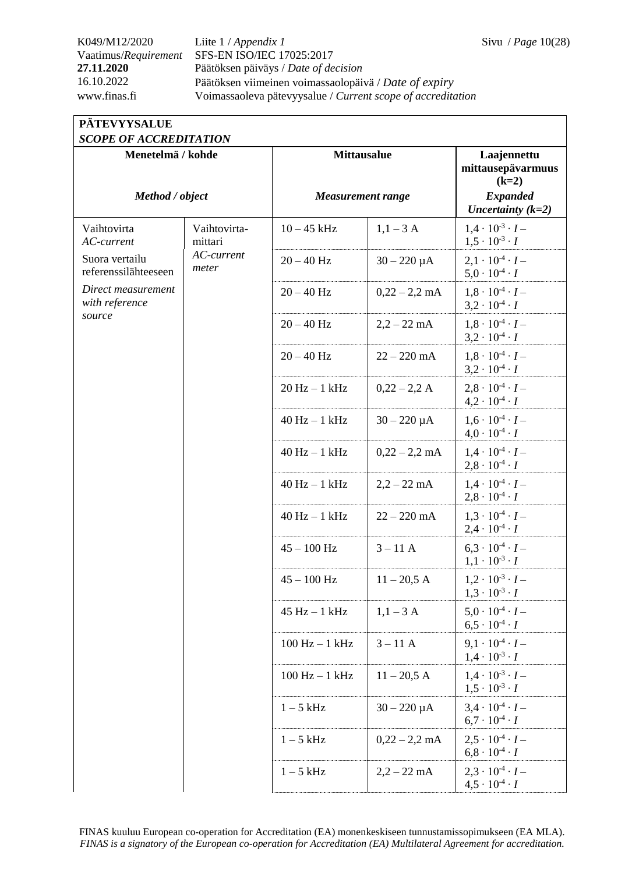## K049/M12/2020 Liite 1 / *Appendix 1* Sivu / *Page* 10(28) Vaatimus/*Requirement* SFS-EN ISO/IEC 17025:2017 **27.11.2020** Päätöksen päiväys / *Date of decision* 16.10.2022 Päätöksen viimeinen voimassaolopäivä / *Date of expiry* www.finas.fi Voimassaoleva pätevyysalue / *Current scope of accreditation*

### **PÄTEVYYSALUE**  *SCOPE OF ACCREDITATION*

| SCOPE OF ACCREDITATION                 |                         |                          |                  |                                                              |
|----------------------------------------|-------------------------|--------------------------|------------------|--------------------------------------------------------------|
| Menetelmä / kohde<br>Method / object   |                         | <b>Mittausalue</b>       |                  | Laajennettu<br>mittausepävarmuus<br>$(k=2)$                  |
|                                        |                         | <b>Measurement range</b> |                  | <b>Expanded</b><br>Uncertainty $(k=2)$                       |
| Vaihtovirta<br>AC-current              | Vaihtovirta-<br>mittari | $10 - 45$ kHz            | $1,1-3$ A        | $1.4 \cdot 10^{-3} \cdot I -$<br>$1.5 \cdot 10^{-3} \cdot I$ |
| Suora vertailu<br>referenssilähteeseen | AC-current<br>meter     | $20 - 40$ Hz             | $30 - 220 \mu A$ | $2,1 \cdot 10^{-4} \cdot I -$<br>$5.0 \cdot 10^{-4} \cdot I$ |
| Direct measurement<br>with reference   |                         | $20 - 40$ Hz             | $0,22 - 2,2$ mA  | $1.8 \cdot 10^{-4} \cdot I -$<br>$3,2 \cdot 10^{-4} \cdot I$ |
| source                                 |                         | $20 - 40$ Hz             | $2,2 - 22$ mA    | $1.8 \cdot 10^{-4} \cdot I -$<br>$3.2 \cdot 10^{-4} \cdot I$ |
|                                        |                         | $20 - 40$ Hz             | $22 - 220$ mA    | $1,8 \cdot 10^{-4} \cdot I -$<br>$3,2 \cdot 10^{-4} \cdot I$ |
|                                        |                         | $20 Hz - 1 kHz$          | $0,22 - 2,2 A$   | $2.8 \cdot 10^{-4} \cdot I -$<br>$4,2 \cdot 10^{-4} \cdot I$ |
|                                        |                         | $40$ Hz $-1$ kHz         | $30 - 220 \mu A$ | $1.6 \cdot 10^{-4} \cdot I -$<br>$4.0 \cdot 10^{-4} \cdot I$ |
|                                        |                         | $40$ Hz $-1$ kHz         | $0,22 - 2,2$ mA  | $1.4 \cdot 10^{-4} \cdot I -$<br>$2,8 \cdot 10^{-4} \cdot I$ |
|                                        |                         | $40$ Hz $-1$ kHz         | $2,2 - 22$ mA    | $1.4 \cdot 10^{-4} \cdot I -$<br>$2,8 \cdot 10^{-4} \cdot I$ |
|                                        |                         | $40$ Hz $-1$ kHz         | $22 - 220$ mA    | $1.3 \cdot 10^{-4} \cdot I -$<br>$2.4 \cdot 10^{-4} \cdot I$ |
|                                        |                         | $45 - 100$ Hz            | $3 - 11$ A       | $6.3 \cdot 10^{-4} \cdot I -$<br>$1.1 \cdot 10^{-3} \cdot I$ |
|                                        |                         | $45 - 100$ Hz            | $11 - 20,5$ A    | $1,2 \cdot 10^{-3} \cdot I -$<br>$1,3 \cdot 10^{-3} \cdot I$ |
|                                        |                         | $45 Hz - 1 kHz$          | $1,1-3$ A        | $5.0 \cdot 10^{-4} \cdot I -$<br>$6.5 \cdot 10^{-4} \cdot I$ |
|                                        |                         | $100$ Hz $-1$ kHz        | $3 - 11$ A       | $9.1 \cdot 10^{-4} \cdot I -$<br>$1,4 \cdot 10^{-3} \cdot I$ |
|                                        |                         | $100 Hz - 1 kHz$         | $11 - 20,5$ A    | $1.4 \cdot 10^{-3} \cdot I -$<br>$1,5 \cdot 10^{-3} \cdot I$ |
|                                        |                         | $1-5$ kHz                | $30 - 220 \mu A$ | $3.4 \cdot 10^{-4} \cdot I -$<br>$6.7 \cdot 10^{-4} \cdot I$ |
|                                        |                         | $1-5$ kHz                | $0,22 - 2,2$ mA  | $2.5 \cdot 10^{-4} \cdot I -$<br>$6,8 \cdot 10^{-4} \cdot I$ |
|                                        |                         | $1-5$ kHz                | $2,2 - 22$ mA    | $2.3 \cdot 10^{-4} \cdot I -$<br>$4,5 \cdot 10^{-4} \cdot I$ |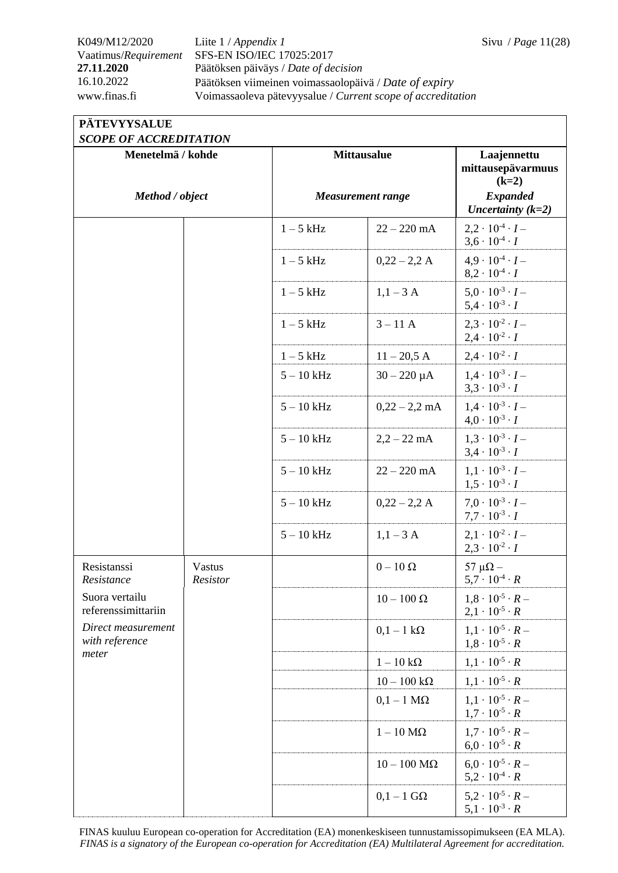## K049/M12/2020 Liite 1 / *Appendix 1* Sivu / *Page* 11(28) Vaatimus/*Requirement* SFS-EN ISO/IEC 17025:2017 **27.11.2020** Päätöksen päiväys / *Date of decision* 16.10.2022 Päätöksen viimeinen voimassaolopäivä / *Date of expiry* www.finas.fi Voimassaoleva pätevyysalue / *Current scope of accreditation*

## **PÄTEVYYSALUE**

| <b>SCOPE OF ACCREDITATION</b>         |                    |                    |                          |                                                              |  |  |
|---------------------------------------|--------------------|--------------------|--------------------------|--------------------------------------------------------------|--|--|
| Menetelmä / kohde<br>Method / object  |                    | <b>Mittausalue</b> |                          | Laajennettu<br>mittausepävarmuus<br>$(k=2)$                  |  |  |
|                                       |                    |                    | <b>Measurement range</b> | <b>Expanded</b><br>Uncertainty $(k=2)$                       |  |  |
|                                       |                    | $1-5$ kHz          | $22 - 220$ mA            | $2,2 \cdot 10^{-4} \cdot I -$<br>$3,6 \cdot 10^{-4} \cdot I$ |  |  |
|                                       |                    | $1-5$ kHz          | $0,22 - 2,2 A$           | $4.9 \cdot 10^{-4} \cdot I -$<br>$8.2 \cdot 10^{-4} \cdot I$ |  |  |
|                                       |                    | $1-5$ kHz          | $1,1-3$ A                | $5.0 \cdot 10^{-3} \cdot I -$<br>$5.4 \cdot 10^{-3} \cdot I$ |  |  |
|                                       |                    | $1-5$ kHz          | $3 - 11$ A               | $2.3 \cdot 10^{-2} \cdot I -$<br>$2,4 \cdot 10^{-2} \cdot I$ |  |  |
|                                       |                    | $1-5$ kHz          | $11 - 20,5$ A            | $2.4 \cdot 10^{-2} \cdot I$                                  |  |  |
|                                       |                    | $5 - 10$ kHz       | $30 - 220 \mu A$         | $1.4 \cdot 10^{-3} \cdot I -$<br>$3,3 \cdot 10^{-3} \cdot I$ |  |  |
|                                       |                    | $5 - 10$ kHz       | $0,22 - 2,2$ mA          | $1.4 \cdot 10^{-3} \cdot I -$<br>$4.0 \cdot 10^{-3} \cdot I$ |  |  |
|                                       |                    | $5 - 10$ kHz       | $2,2 - 22$ mA            | $1.3 \cdot 10^{-3} \cdot I -$<br>$3,4 \cdot 10^{-3} \cdot I$ |  |  |
|                                       |                    | $5 - 10$ kHz       | $22 - 220$ mA            | $1.1 \cdot 10^{-3} \cdot I -$<br>$1,5 \cdot 10^{-3} \cdot I$ |  |  |
|                                       |                    | $5 - 10$ kHz       | $0,22 - 2,2 A$           | $7.0 \cdot 10^{-3} \cdot I -$<br>$7.7 \cdot 10^{-3} \cdot I$ |  |  |
|                                       |                    | $5 - 10$ kHz       | $1,1-3$ A                | $2.1 \cdot 10^{-2} \cdot I -$<br>$2,3 \cdot 10^{-2} \cdot I$ |  |  |
| Resistanssi<br>Resistance             | Vastus<br>Resistor |                    | $0-10\ \Omega$           | 57 $\mu\Omega$ –<br>$5.7 \cdot 10^{-4} \cdot R$              |  |  |
| Suora vertailu<br>referenssimittariin |                    |                    | $10-100$ Ω               | $1,8 \cdot 10^{-5} \cdot R$<br>$2,1 \cdot 10^{-5} \cdot R$   |  |  |
| Direct measurement<br>with reference  |                    |                    | $0,1-1$ kΩ               | $1.1 \cdot 10^{-5} \cdot R -$<br>$1,8 \cdot 10^{-5} \cdot R$ |  |  |
| meter                                 |                    |                    | $1-10\;k\Omega$          | $1, 1 \cdot 10^{-5} \cdot R$                                 |  |  |
|                                       |                    |                    | $10-100\;k\Omega$        | $1,1 \cdot 10^{-5} \cdot R$                                  |  |  |
|                                       |                    |                    | $0,1-1$ M $\Omega$       | $1.1 \cdot 10^{-5} \cdot R -$<br>$1.7 \cdot 10^{-5} \cdot R$ |  |  |
|                                       |                    |                    | $1-10$ M $\Omega$        | $1.7 \cdot 10^{-5} \cdot R -$<br>$6.0 \cdot 10^{-5} \cdot R$ |  |  |
|                                       |                    |                    | $10-100$ M $\Omega$      | $6.0 \cdot 10^{-5} \cdot R -$<br>$5,2 \cdot 10^{-4} \cdot R$ |  |  |
|                                       |                    |                    | $0,1-1$ G $\Omega$       | $5.2 \cdot 10^{-5} \cdot R -$<br>$5,1 \cdot 10^{-3} \cdot R$ |  |  |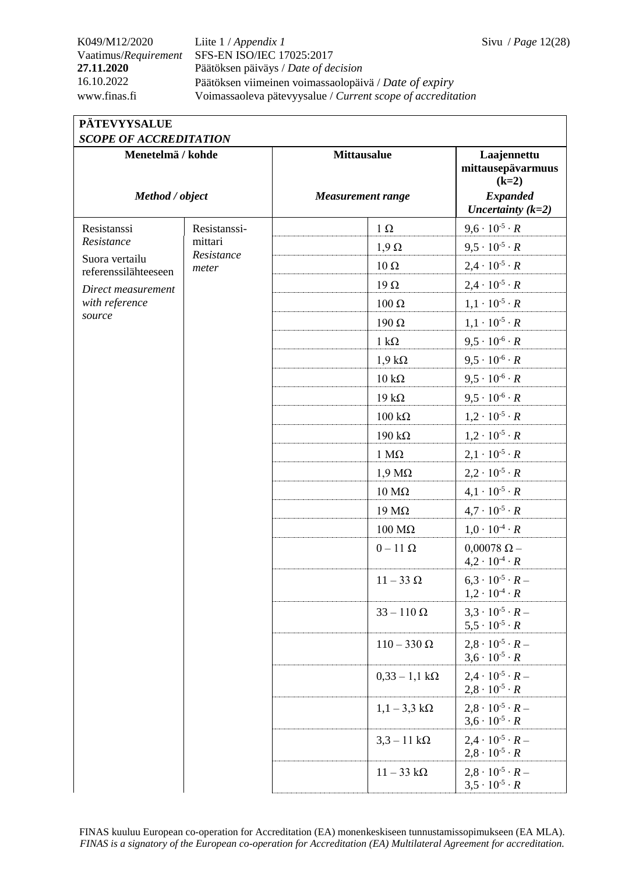## K049/M12/2020 Liite 1 / *Appendix 1* Sivu / *Page* 12(28) Vaatimus/*Requirement* SFS-EN ISO/IEC 17025:2017 **27.11.2020** Päätöksen päiväys / *Date of decision* 16.10.2022 Päätöksen viimeinen voimassaolopäivä / *Date of expiry* www.finas.fi Voimassaoleva pätevyysalue / *Current scope of accreditation*

| <b>PATEVYYSALUE</b>  |
|----------------------|
| SCOPE OF ACCREDITATI |

| <b>SCOPE OF ACCREDITATION</b>          |                       |                                                |                                                                                       |
|----------------------------------------|-----------------------|------------------------------------------------|---------------------------------------------------------------------------------------|
| Menetelmä / kohde<br>Method / object   |                       | <b>Mittausalue</b><br><b>Measurement range</b> | Laajennettu<br>mittausepävarmuus<br>$(k=2)$<br><b>Expanded</b><br>Uncertainty $(k=2)$ |
| Resistanssi                            | Resistanssi-          | $1 \Omega$                                     | $9,6 \cdot 10^{-5} \cdot R$                                                           |
| Resistance                             | mittari<br>Resistance | $1,9 \Omega$                                   | $9.5 \cdot 10^{-5} \cdot R$                                                           |
| Suora vertailu<br>referenssilähteeseen | meter                 | $10 \Omega$                                    | $2,4 \cdot 10^{-5} \cdot R$                                                           |
| Direct measurement                     |                       | $19\Omega$                                     | $2,4 \cdot 10^{-5} \cdot R$                                                           |
| with reference                         |                       | 100 Ω                                          | $1,1 \cdot 10^{-5} \cdot R$                                                           |
| source                                 |                       | 190 Ω                                          | $1, 1 \cdot 10^{-5} \cdot R$                                                          |
|                                        |                       | $1 k\Omega$                                    | $9.5 \cdot 10^{-6} \cdot R$                                                           |
|                                        |                       | $1,9 k\Omega$                                  | $9.5 \cdot 10^{-6} \cdot R$                                                           |
|                                        |                       | $10 \text{ k}\Omega$                           | $9,5 \cdot 10^{-6} \cdot R$                                                           |
|                                        |                       | $19 k\Omega$                                   | $9.5 \cdot 10^{-6} \cdot R$                                                           |
|                                        |                       | $100 \text{ k}\Omega$                          | $1,2 \cdot 10^{-5} \cdot R$                                                           |
|                                        |                       | $190 k\Omega$                                  | $1,2 \cdot 10^{-5} \cdot R$                                                           |
|                                        |                       | $1 M\Omega$                                    | $2,1 \cdot 10^{-5} \cdot R$                                                           |
|                                        |                       | $1,9 \text{ M}\Omega$                          | $2,2 \cdot 10^{-5} \cdot R$                                                           |
|                                        |                       | $10 \text{ M}\Omega$                           | $4,1 \cdot 10^{-5} \cdot R$                                                           |
|                                        |                       | $19 \text{ M}\Omega$                           | $4.7 \cdot 10^{-5} \cdot R$                                                           |
|                                        |                       | $100$ ΜΩ                                       | $1,0 \cdot 10^{-4} \cdot R$                                                           |
|                                        |                       | $0-11$ $\Omega$                                | $0,00078 \Omega -$<br>$4,2 \cdot 10^{-4} \cdot R$                                     |
|                                        |                       | $11-33 \Omega$                                 | $6.3 \cdot 10^{-5} \cdot R -$<br>$1,2 \cdot 10^{-4} \cdot R$                          |
|                                        |                       | $33 - 110 \Omega$                              | $3.3 \cdot 10^{-5} \cdot R -$<br>$5.5 \cdot 10^{-5} \cdot R$                          |
|                                        |                       | $110 - 330 \Omega$                             | $2.8 \cdot 10^{-5} \cdot R -$<br>$3.6 \cdot 10^{-5} \cdot R$                          |
|                                        |                       | $0,33 - 1,1 k\Omega$                           | $2.4 \cdot 10^{-5} \cdot R -$<br>$2,8 \cdot 10^{-5} \cdot R$                          |
|                                        |                       | $1,1-3,3 \text{ k}\Omega$                      | $2.8 \cdot 10^{-5} \cdot R -$<br>$3.6 \cdot 10^{-5} \cdot R$                          |
|                                        |                       | $3,3 - 11 k\Omega$                             | $2.4 \cdot 10^{-5} \cdot R -$<br>$2,8 \cdot 10^{-5} \cdot R$                          |
|                                        |                       | $11-33 \text{ k}\Omega$                        | $2.8 \cdot 10^{-5} \cdot R -$<br>$3.5 \cdot 10^{-5} \cdot R$                          |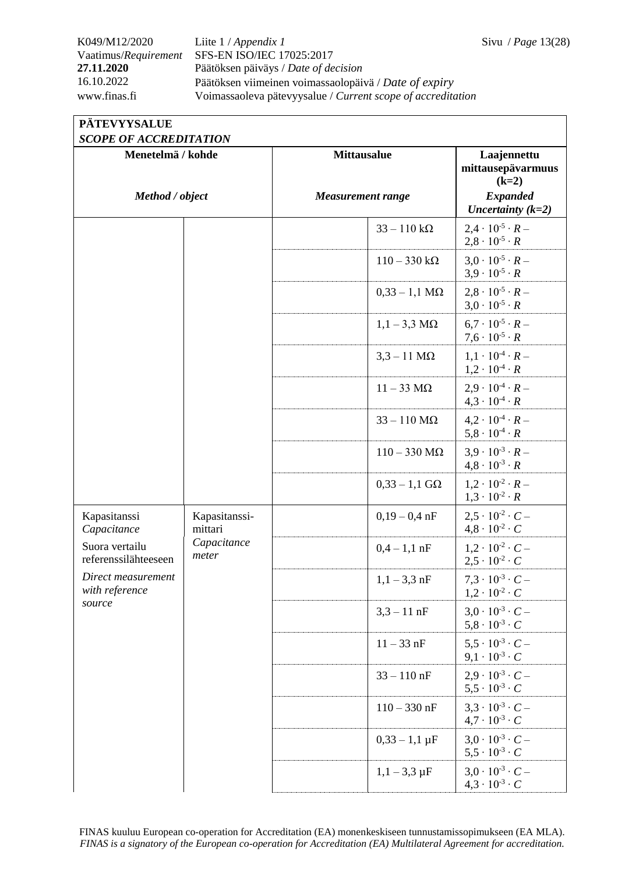$5,5 \cdot 10^{-3} \cdot C$ 

 $3.0 \cdot 10^{-3} \cdot C$  –  $4,3 \cdot 10^{-3} \cdot C$ 

 $1,1 - 3,3 \,\mu F$ 

K049/M12/2020 Liite 1 / *Appendix 1* Sivu / *Page* 13(28) Vaatimus/*Requirement* SFS-EN ISO/IEC 17025:2017 **27.11.2020** Päätöksen päiväys / *Date of decision* 16.10.2022 Päätöksen viimeinen voimassaolopäivä / *Date of expiry* www.finas.fi Voimassaoleva pätevyysalue / *Current scope of accreditation*

| <b>PÄTEVYYSALUE</b>                                |                          |                          |                                                              |
|----------------------------------------------------|--------------------------|--------------------------|--------------------------------------------------------------|
| <b>SCOPE OF ACCREDITATION</b><br>Menetelmä / kohde |                          | <b>Mittausalue</b>       | Laajennettu<br>mittausepävarmuus<br>$(k=2)$                  |
| Method / object                                    |                          | <b>Measurement range</b> | <b>Expanded</b><br>Uncertainty $(k=2)$                       |
|                                                    |                          | $33 - 110 k\Omega$       | $2.4 \cdot 10^{-5} \cdot R -$<br>$2,8 \cdot 10^{-5} \cdot R$ |
|                                                    |                          | $110 - 330 k\Omega$      | $3.0 \cdot 10^{-5} \cdot R -$<br>$3.9 \cdot 10^{-5} \cdot R$ |
|                                                    |                          | $0,33 - 1,1 M\Omega$     | $2.8 \cdot 10^{-5} \cdot R -$<br>$3.0 \cdot 10^{-5} \cdot R$ |
|                                                    |                          | $1,1-3,3$ M $\Omega$     | $6.7 \cdot 10^{-5} \cdot R -$<br>$7.6 \cdot 10^{-5} \cdot R$ |
|                                                    |                          | $3,3-11$ M $\Omega$      | $1.1 \cdot 10^{-4} \cdot R -$<br>$1.2 \cdot 10^{-4} \cdot R$ |
|                                                    |                          | $11-33 \text{ M}\Omega$  | $2.9 \cdot 10^{-4} \cdot R$ –<br>$4.3 \cdot 10^{-4} \cdot R$ |
|                                                    |                          | $33 - 110$ M $\Omega$    | $4.2 \cdot 10^{-4} \cdot R -$<br>$5,8 \cdot 10^{-4} \cdot R$ |
|                                                    |                          | $110 - 330$ M $\Omega$   | $3.9 \cdot 10^{-3} \cdot R -$<br>$4.8 \cdot 10^{-3} \cdot R$ |
|                                                    |                          | $0,33 - 1,1$ GQ          | $1.2 \cdot 10^{-2} \cdot R -$<br>$1,3 \cdot 10^{-2} \cdot R$ |
| Kapasitanssi<br>Capacitance                        | Kapasitanssi-<br>mittari | $0,19-0,4$ nF            | $2.5 \cdot 10^{-2} \cdot C -$<br>$4.8 \cdot 10^{-2} \cdot C$ |
| Suora vertailu<br>referenssilähteeseen             | Capacitance<br>meter     | $0.4 - 1.1$ nF           | $1.2 \cdot 10^{-2} \cdot C -$<br>$2.5 \cdot 10^{-2} \cdot C$ |
| Direct measurement<br>with reference               |                          | $1,1-3,3$ nF             | $7.3 \cdot 10^{-3} \cdot C$ –<br>$1,2 \cdot 10^{-2} \cdot C$ |
| source                                             |                          | $3,3 - 11$ nF            | $3.0 \cdot 10^{-3} \cdot C -$<br>$5,8 \cdot 10^{-3} \cdot C$ |
|                                                    |                          | $11 - 33$ nF             | $5.5 \cdot 10^{-3} \cdot C -$<br>$9.1 \cdot 10^{-3} \cdot C$ |
|                                                    |                          | $33 - 110$ nF            | $2.9 \cdot 10^{-3} \cdot C$ –<br>$5.5 \cdot 10^{-3} \cdot C$ |
|                                                    |                          | $110 - 330$ nF           | $3.3 \cdot 10^{-3} \cdot C$ –<br>$4.7 \cdot 10^{-3} \cdot C$ |
|                                                    |                          | $0,33 - 1,1 \,\mu F$     | $3.0 \cdot 10^{-3} \cdot C$ –                                |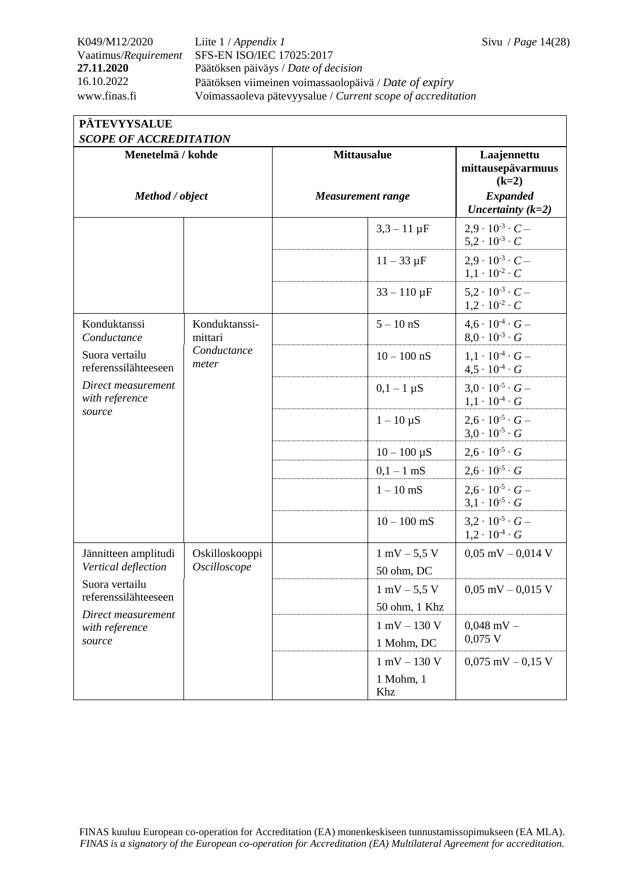## K049/M12/2020 Liite 1 / *Appendix 1* Sivu / *Page* 14(28) Vaatimus/*Requirement* SFS-EN ISO/IEC 17025:2017 **27.11.2020** Päätöksen päiväys / *Date of decision* 16.10.2022 Päätöksen viimeinen voimassaolopäivä / *Date of expiry* www.finas.fi Voimassaoleva pätevyysalue / *Current scope of accreditation*

| <b>SCOPE OF ACCREDITATION</b>                                                                                           |                          |                          |                                |                                                              |  |
|-------------------------------------------------------------------------------------------------------------------------|--------------------------|--------------------------|--------------------------------|--------------------------------------------------------------|--|
| Menetelmä / kohde                                                                                                       |                          | <b>Mittausalue</b>       |                                | Laajennettu<br>mittausepävarmuus<br>$(k=2)$                  |  |
| Method / object                                                                                                         |                          | <b>Measurement range</b> |                                | <b>Expanded</b><br>Uncertainty $(k=2)$                       |  |
|                                                                                                                         |                          |                          | $3,3 - 11 \,\mu F$             | $2.9 \cdot 10^{-3} \cdot C -$<br>$5.2 \cdot 10^{-3} \cdot C$ |  |
|                                                                                                                         |                          |                          | $11 - 33 \mu F$                | $2.9 \cdot 10^{-3} \cdot C -$<br>$1,1 \cdot 10^{-2} \cdot C$ |  |
|                                                                                                                         |                          |                          | $33 - 110 \,\mu F$             | $5.2 \cdot 10^{-3} \cdot C -$<br>$1,2 \cdot 10^{-2} \cdot C$ |  |
| Konduktanssi<br>Conductance<br>Suora vertailu<br>referenssilähteeseen<br>Direct measurement<br>with reference<br>source | Konduktanssi-<br>mittari |                          | $5 - 10$ nS                    | $4.6 \cdot 10^{-4} \cdot G -$<br>$8.0 \cdot 10^{-3} \cdot G$ |  |
|                                                                                                                         | Conductance<br>meter     |                          | $10 - 100$ nS                  | $1.1 \cdot 10^{-4} \cdot G -$<br>$4.5 \cdot 10^{-4} \cdot G$ |  |
|                                                                                                                         |                          |                          | $0,1-1 \mu S$                  | $3.0 \cdot 10^{-5} \cdot G -$<br>$1,1 \cdot 10^{-4} \cdot G$ |  |
|                                                                                                                         |                          |                          | $1 - 10 \mu S$                 | $2.6 \cdot 10^{-5} \cdot G -$<br>$3.0 \cdot 10^{-5} \cdot G$ |  |
|                                                                                                                         |                          |                          | $10 - 100 \mu S$               | $2,6 \cdot 10^{-5} \cdot G$                                  |  |
|                                                                                                                         |                          |                          | $0,1-1$ mS                     | $2,6 \cdot 10^{-5} \cdot G$                                  |  |
|                                                                                                                         |                          |                          | $1 - 10$ mS                    | $2.6 \cdot 10^{-5} \cdot G -$<br>$3.1 \cdot 10^{-5} \cdot G$ |  |
|                                                                                                                         |                          |                          | $10 - 100$ mS                  | $3.2 \cdot 10^{-5} \cdot G$ –<br>$1,2 \cdot 10^{-4} \cdot G$ |  |
| Jännitteen amplitudi                                                                                                    | Oskilloskooppi           |                          | $1 \text{ mV} - 5.5 \text{ V}$ | $0,05$ mV $-0,014$ V                                         |  |
| Vertical deflection                                                                                                     | Oscilloscope             |                          | 50 ohm, DC                     |                                                              |  |
| Suora vertailu<br>referenssilähteeseen<br>Direct measurement<br>with reference<br>source                                |                          |                          | $1 \text{ mV} - 5.5 \text{ V}$ | $0,05$ mV $-0,015$ V                                         |  |
|                                                                                                                         |                          |                          | 50 ohm, 1 Khz                  |                                                              |  |
|                                                                                                                         |                          |                          | $1$ mV $-$ 130 V               | $0.048$ mV $-$                                               |  |
|                                                                                                                         |                          |                          | 1 Mohm, DC                     | $0,075$ V                                                    |  |
|                                                                                                                         |                          |                          | $1$ mV $-$ 130 V               | $0,075$ mV $-0,15$ V                                         |  |
|                                                                                                                         |                          |                          | 1 Mohm, 1<br>Khz               |                                                              |  |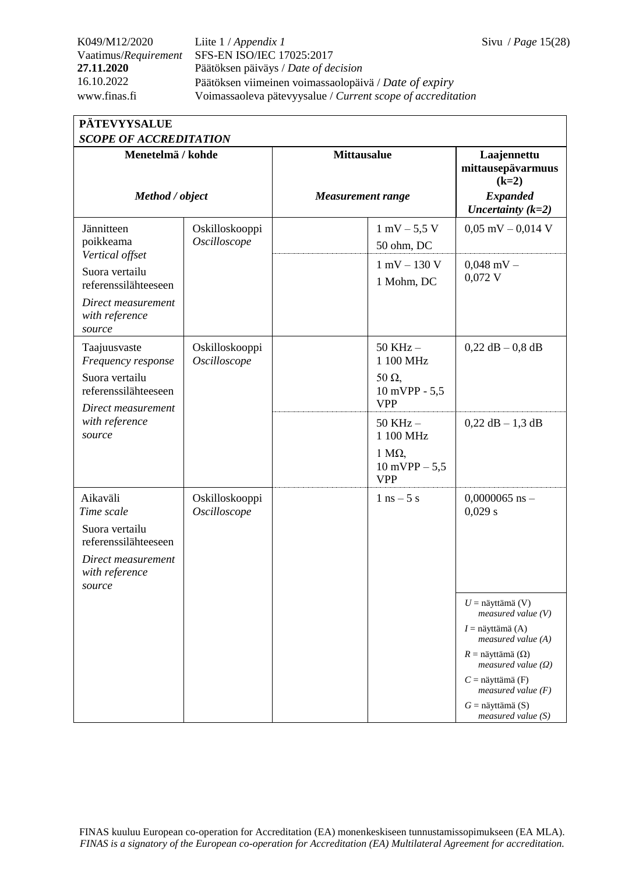K049/M12/2020 Liite 1 / *Appendix 1* Sivu / *Page* 15(28) Vaatimus/*Requirement* SFS-EN ISO/IEC 17025:2017 **27.11.2020** Päätöksen päiväys / *Date of decision* 16.10.2022 Päätöksen viimeinen voimassaolopäivä / *Date of expiry* www.finas.fi Voimassaoleva pätevyysalue / *Current scope of accreditation*

| <b>PÄTEVYYSALUE</b>    |
|------------------------|
| SCOPE OF ACCREDITATION |

| SCOPE OF ACCREDITATION                                                 |                                |                          |                                                        |                                                          |
|------------------------------------------------------------------------|--------------------------------|--------------------------|--------------------------------------------------------|----------------------------------------------------------|
| Menetelmä / kohde<br>Method / object                                   |                                | <b>Mittausalue</b>       |                                                        | Laajennettu<br>mittausepävarmuus<br>$(k=2)$              |
|                                                                        |                                | <b>Measurement range</b> |                                                        | <b>Expanded</b><br>Uncertainty $(k=2)$                   |
| Jännitteen<br>poikkeama                                                | Oskilloskooppi<br>Oscilloscope |                          | $1 \text{ mV} - 5.5 \text{ V}$<br>50 ohm, DC           | $0,05$ mV $-0,014$ V                                     |
| Vertical offset<br>Suora vertailu<br>referenssilähteeseen              |                                |                          | $1$ mV $-$ 130 V<br>1 Mohm, DC                         | $0,048$ mV $-$<br>$0,072$ V                              |
| Direct measurement<br>with reference<br>source                         |                                |                          |                                                        |                                                          |
| Taajuusvaste<br>Frequency response<br>Suora vertailu                   | Oskilloskooppi<br>Oscilloscope |                          | 50 KHz -<br>1 100 MHz<br>$50 \Omega$                   | $0,22$ dB $-0.8$ dB                                      |
| referenssilähteeseen<br>Direct measurement<br>with reference<br>source |                                |                          | 10 mVPP - 5,5<br><b>VPP</b>                            |                                                          |
|                                                                        |                                |                          | $50$ KHz $-$<br>1 100 MHz                              | $0,22$ dB $-1,3$ dB                                      |
|                                                                        |                                |                          | $1 \text{ M}\Omega$<br>$10$ mVPP $- 5,5$<br><b>VPP</b> |                                                          |
| Aikaväli<br>Time scale                                                 | Oskilloskooppi<br>Oscilloscope |                          | $1$ ns $-5$ s                                          | $0,0000065$ ns -<br>0,029 s                              |
| Suora vertailu<br>referenssilähteeseen                                 |                                |                          |                                                        |                                                          |
| Direct measurement<br>with reference<br>source                         |                                |                          |                                                        |                                                          |
|                                                                        |                                |                          |                                                        | $U =$ näyttämä (V)<br>measured value $(V)$               |
|                                                                        |                                |                          |                                                        | $I =$ näyttämä (A)<br>$measured$ value (A)               |
|                                                                        |                                |                          |                                                        | $R =$ näyttämä ( $\Omega$ )<br>measured value $(\Omega)$ |
|                                                                        |                                |                          |                                                        | $C =$ näyttämä (F)<br>measured value $(F)$               |
|                                                                        |                                |                          |                                                        | $G =$ näyttämä (S)<br>measured value $(S)$               |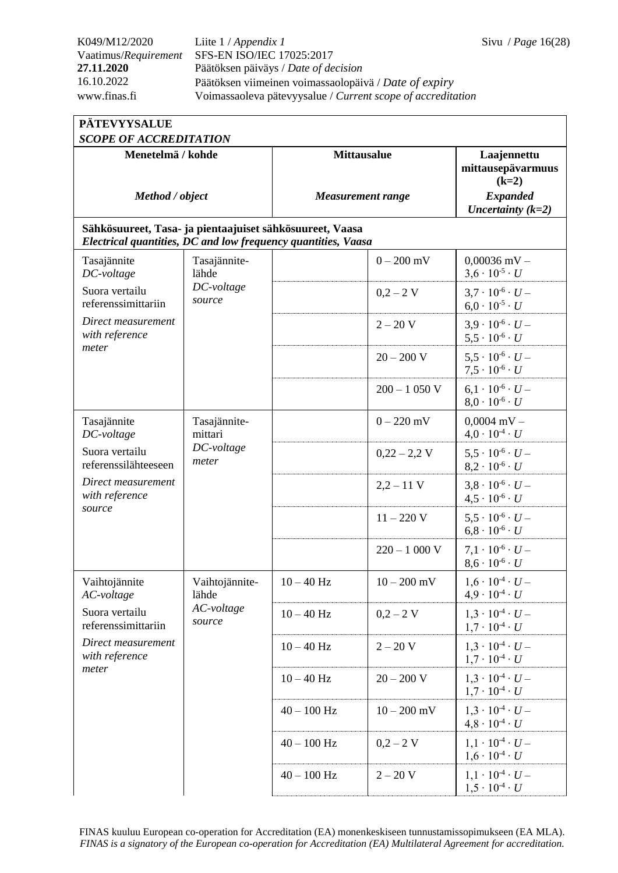K049/M12/2020 Liite 1 / *Appendix 1* Sivu / *Page* 16(28) Vaatimus/*Requirement* SFS-EN ISO/IEC 17025:2017 **27.11.2020** Päätöksen päiväys / *Date of decision* 16.10.2022 Päätöksen viimeinen voimassaolopäivä / *Date of expiry* www.finas.fi Voimassaoleva pätevyysalue / *Current scope of accreditation*

| <b>PÄTEVYYSALUE</b>                                                                                                       |                         |                    |                          |                                                              |  |  |
|---------------------------------------------------------------------------------------------------------------------------|-------------------------|--------------------|--------------------------|--------------------------------------------------------------|--|--|
| <b>SCOPE OF ACCREDITATION</b>                                                                                             |                         |                    |                          |                                                              |  |  |
| Menetelmä / kohde                                                                                                         |                         | <b>Mittausalue</b> |                          | Laajennettu<br>mittausepävarmuus<br>$(k=2)$                  |  |  |
| Method / object                                                                                                           |                         |                    | <b>Measurement range</b> | <b>Expanded</b><br>Uncertainty $(k=2)$                       |  |  |
| Sähkösuureet, Tasa- ja pientaajuiset sähkösuureet, Vaasa<br>Electrical quantities, DC and low frequency quantities, Vaasa |                         |                    |                          |                                                              |  |  |
| Tasajännite<br>DC-voltage                                                                                                 | Tasajännite-<br>lähde   |                    | $0 - 200$ mV             | $0,00036$ mV $-$<br>$3.6 \cdot 10^{-5} \cdot U$              |  |  |
| Suora vertailu<br>referenssimittariin                                                                                     | DC-voltage<br>source    |                    | $0,2 - 2$ V              | $3.7 \cdot 10^{-6} \cdot U -$<br>$6.0 \cdot 10^{-5} \cdot U$ |  |  |
| Direct measurement<br>with reference                                                                                      |                         |                    | $2 - 20 V$               | $3.9 \cdot 10^{-6} \cdot U -$<br>$5.5 \cdot 10^{-6} \cdot U$ |  |  |
| meter                                                                                                                     |                         |                    | $20 - 200 V$             | $5.5 \cdot 10^{-6} \cdot U -$<br>$7.5 \cdot 10^{-6} \cdot U$ |  |  |
|                                                                                                                           |                         |                    | $200 - 1050$ V           | $6,1\cdot 10^{-6} \cdot U -$<br>$8.0 \cdot 10^{-6} \cdot U$  |  |  |
| Tasajännite<br>DC-voltage                                                                                                 | Tasajännite-<br>mittari |                    | $0 - 220$ mV             | $0,0004$ mV -<br>$4.0 \cdot 10^{-4} \cdot U$                 |  |  |
| Suora vertailu<br>referenssilähteeseen                                                                                    | DC-voltage<br>meter     |                    | $0,22 - 2,2$ V           | $5.5 \cdot 10^{-6} \cdot U -$<br>$8.2 \cdot 10^{-6} \cdot U$ |  |  |
| Direct measurement<br>with reference                                                                                      |                         |                    | $2,2 - 11$ V             | $3.8 \cdot 10^{-6} \cdot U -$<br>$4.5 \cdot 10^{-6} \cdot U$ |  |  |
| source                                                                                                                    |                         |                    | $11 - 220$ V             | $5.5 \cdot 10^{-6} \cdot U -$<br>$6.8 \cdot 10^{-6} \cdot U$ |  |  |
|                                                                                                                           |                         |                    | $220 - 1000$ V           | $7.1 \cdot 10^{-6} \cdot U -$<br>$8,6 \cdot 10^{-6} \cdot U$ |  |  |
| Vaihtojännite<br>AC-voltage                                                                                               | Vaihtojännite-<br>lähde | $10 - 40$ Hz       | $10 - 200$ mV            | $1.6 \cdot 10^{-4} \cdot U -$<br>$4.9 \cdot 10^{-4} \cdot U$ |  |  |
| Suora vertailu<br>referenssimittariin                                                                                     | AC-voltage<br>source    | $10 - 40$ Hz       | $0,2 - 2$ V              | $1.3 \cdot 10^{-4} \cdot U -$<br>$1.7 \cdot 10^{-4} \cdot U$ |  |  |
| Direct measurement<br>with reference                                                                                      |                         | $10 - 40$ Hz       | $2 - 20 V$               | $1.3 \cdot 10^{-4} \cdot U -$<br>$1.7 \cdot 10^{-4} \cdot U$ |  |  |
| meter                                                                                                                     |                         | $10 - 40$ Hz       | $20 - 200 V$             | $1.3 \cdot 10^{-4} \cdot U -$<br>$1.7 \cdot 10^{-4} \cdot U$ |  |  |
|                                                                                                                           |                         | $40 - 100$ Hz      | $10 - 200$ mV            | $1.3 \cdot 10^{-4} \cdot U -$<br>$4.8 \cdot 10^{-4} \cdot U$ |  |  |
|                                                                                                                           |                         | $40 - 100$ Hz      | $0,2 - 2$ V              | $1,1 \cdot 10^{-4} \cdot U -$<br>$1.6 \cdot 10^{-4} \cdot U$ |  |  |
|                                                                                                                           |                         | $40 - 100$ Hz      | $2 - 20 V$               | $1,1 \cdot 10^{-4} \cdot U -$<br>$1,5 \cdot 10^{-4} \cdot U$ |  |  |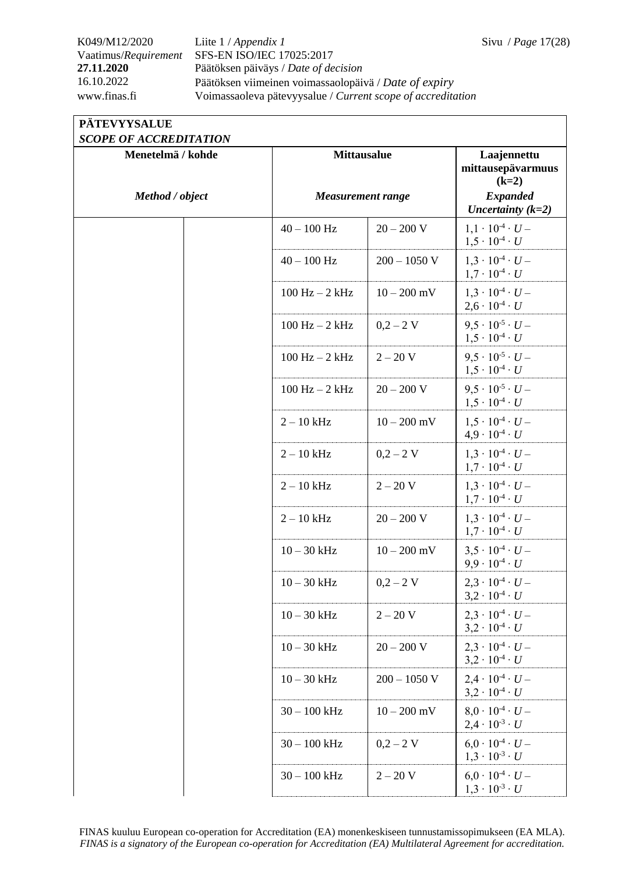## K049/M12/2020 Liite 1 / *Appendix 1* Sivu / *Page* 17(28) Vaatimus/*Requirement* SFS-EN ISO/IEC 17025:2017 **27.11.2020** Päätöksen päiväys / *Date of decision* 16.10.2022 Päätöksen viimeinen voimassaolopäivä / *Date of expiry* www.finas.fi Voimassaoleva pätevyysalue / *Current scope of accreditation*

## **PÄTEVYYSALUE**

|  | <b>SCOPE OF ACCREDITATION</b> |
|--|-------------------------------|
|  |                               |

| SUULE UF AUUREDHATIUN<br>Menetelmä / kohde | <b>Mittausalue</b> |                          | Laajennettu<br>mittausepävarmuus<br>$(k=2)$                  |
|--------------------------------------------|--------------------|--------------------------|--------------------------------------------------------------|
| Method / object                            |                    | <b>Measurement range</b> |                                                              |
|                                            | $40 - 100$ Hz      | $20 - 200$ V             | $1,1 \cdot 10^{-4} \cdot U -$<br>$1.5 \cdot 10^{-4} \cdot U$ |
|                                            | $40 - 100$ Hz      | $200 - 1050$ V           | $1.3 \cdot 10^{-4} \cdot U -$<br>$1,7 \cdot 10^{-4} \cdot U$ |
|                                            | $100$ Hz $- 2$ kHz | $10 - 200$ mV            | $1,3 \cdot 10^{-4} \cdot U -$<br>$2,6 \cdot 10^{-4} \cdot U$ |
|                                            | $100$ Hz $-2$ kHz  | $0,2 - 2$ V              | $9.5 \cdot 10^{-5} \cdot U -$<br>$1,5 \cdot 10^{-4} \cdot U$ |
|                                            | $100$ Hz $- 2$ kHz | $2 - 20 V$               | $9.5 \cdot 10^{-5} \cdot U -$<br>$1.5 \cdot 10^{-4} \cdot U$ |
|                                            | $100$ Hz $-2$ kHz  | $20 - 200 V$             | $9.5 \cdot 10^{-5} \cdot U -$<br>$1,5 \cdot 10^{-4} \cdot U$ |
|                                            | $2 - 10$ kHz       | $10 - 200$ mV            | $1.5 \cdot 10^{-4} \cdot U -$<br>$4.9 \cdot 10^{-4} \cdot U$ |
|                                            | $2 - 10$ kHz       | $0,2 - 2$ V              | $1,3 \cdot 10^{-4} \cdot U -$<br>$1.7 \cdot 10^{-4} \cdot U$ |
|                                            | $2 - 10$ kHz       | $2 - 20 V$               | $1,3 \cdot 10^{-4} \cdot U -$<br>$1,7 \cdot 10^{-4} \cdot U$ |
|                                            | $2 - 10$ kHz       | $20 - 200 V$             | $1,3 \cdot 10^{-4} \cdot U -$<br>$1.7 \cdot 10^{-4} \cdot U$ |
|                                            | $10 - 30$ kHz      | $10 - 200$ mV            | $3.5 \cdot 10^{-4} \cdot U -$<br>$9.9 \cdot 10^{-4} \cdot U$ |
|                                            | $10 - 30$ kHz      | $0,2 - 2$ V              | $2,3 \cdot 10^{-4} \cdot U -$<br>$3.2 \cdot 10^{-4} \cdot U$ |
|                                            | $10 - 30$ kHz      | $2 - 20 V$               | $2,3 \cdot 10^{-4} \cdot U -$<br>$3,2 \cdot 10^{4} \cdot U$  |
|                                            | $10 - 30$ kHz      | $20 - 200$ V             | $2.3 \cdot 10^{-4} \cdot U -$<br>$3,2 \cdot 10^{-4} \cdot U$ |
|                                            | $10 - 30$ kHz      | $200 - 1050$ V           | $2.4 \cdot 10^{-4} \cdot U -$<br>$3,2 \cdot 10^{-4} \cdot U$ |
|                                            | $30 - 100$ kHz     | $10 - 200$ mV            | $8.0 \cdot 10^{-4} \cdot U -$<br>$2.4 \cdot 10^{-3} \cdot U$ |
|                                            | $30 - 100$ kHz     | $0,2 - 2$ V              | $6.0 \cdot 10^{-4} \cdot U -$<br>$1,3 \cdot 10^{-3} \cdot U$ |
|                                            | $30 - 100$ kHz     | $2 - 20 V$               | $6.0 \cdot 10^{-4} \cdot U -$<br>$1,3 \cdot 10^{-3} \cdot U$ |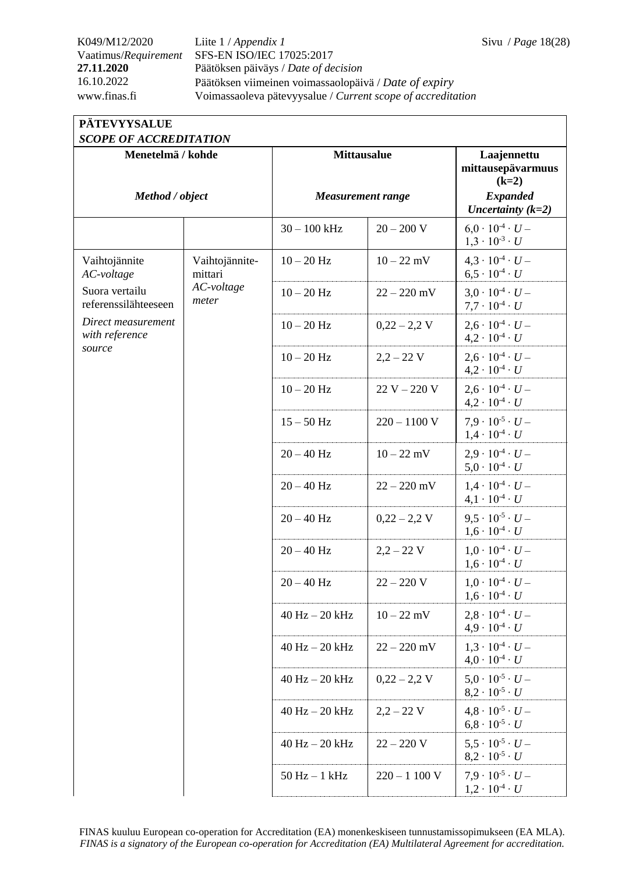## K049/M12/2020 Liite 1 / *Appendix 1* Sivu / *Page* 18(28) Vaatimus/*Requirement* SFS-EN ISO/IEC 17025:2017 **27.11.2020** Päätöksen päiväys / *Date of decision* 16.10.2022 Päätöksen viimeinen voimassaolopäivä / *Date of expiry* www.finas.fi Voimassaoleva pätevyysalue / *Current scope of accreditation*

# **PÄTEVYYSALUE**

| <b>SCOPE OF ACCREDITATION</b>          |                           |                          |                |                                                              |  |
|----------------------------------------|---------------------------|--------------------------|----------------|--------------------------------------------------------------|--|
| Menetelmä / kohde                      |                           | <b>Mittausalue</b>       |                | Laajennettu<br>mittausepävarmuus<br>$(k=2)$                  |  |
| Method / object                        |                           | <b>Measurement range</b> |                | <b>Expanded</b><br>Uncertainty $(k=2)$                       |  |
|                                        |                           | $30 - 100$ kHz           | $20 - 200 V$   | $6.0 \cdot 10^{-4} \cdot U -$<br>$1,3 \cdot 10^{-3} \cdot U$ |  |
| Vaihtojännite<br>AC-voltage            | Vaihtojännite-<br>mittari | $10 - 20$ Hz             | $10 - 22$ mV   | $4.3 \cdot 10^{-4} \cdot U -$<br>$6.5 \cdot 10^{-4} \cdot U$ |  |
| Suora vertailu<br>referenssilähteeseen | AC-voltage<br>meter       | $10 - 20$ Hz             | $22 - 220$ mV  | $3.0 \cdot 10^{-4} \cdot U -$<br>$7.7 \cdot 10^{-4} \cdot U$ |  |
| Direct measurement<br>with reference   |                           | $10-20$ $\rm Hz$         | $0,22 - 2,2$ V | $2.6 \cdot 10^{-4} \cdot U -$<br>$4.2 \cdot 10^{-4} \cdot U$ |  |
| source                                 |                           | $10 - 20$ Hz             | $2,2 - 22$ V   | $2.6 \cdot 10^{-4} \cdot U -$<br>$4.2 \cdot 10^{-4} \cdot U$ |  |
|                                        |                           | $10 - 20$ Hz             | $22 V - 220 V$ | $2.6 \cdot 10^{-4} \cdot U -$<br>$4.2 \cdot 10^{-4} \cdot U$ |  |
|                                        |                           | $15 - 50$ Hz             | $220 - 1100$ V | $7.9 \cdot 10^{-5} \cdot U -$<br>$1.4 \cdot 10^{-4} \cdot U$ |  |
|                                        |                           | $20 - 40$ Hz             | $10 - 22$ mV   | $2.9 \cdot 10^{-4} \cdot U -$<br>$5.0 \cdot 10^{-4} \cdot U$ |  |
|                                        |                           | $20 - 40$ Hz             | $22 - 220$ mV  | $1.4 \cdot 10^{-4} \cdot U -$<br>$4.1 \cdot 10^{-4} \cdot U$ |  |
|                                        |                           | $20 - 40$ Hz             | $0,22 - 2,2$ V | $9.5 \cdot 10^{-5} \cdot U -$<br>$1,6 \cdot 10^{-4} \cdot U$ |  |
|                                        |                           | $20 - 40$ Hz             | $2,2 - 22$ V   | $1.0 \cdot 10^{-4} \cdot U -$<br>$1,6 \cdot 10^{-4} \cdot U$ |  |
|                                        |                           | $20 - 40$ Hz             | $22 - 220$ V   | $1.0 \cdot 10^{-4} \cdot U -$<br>$1,6 \cdot 10^{4} \cdot U$  |  |
|                                        |                           | $40$ Hz $- 20$ kHz       | $10 - 22$ mV   | $2.8 \cdot 10^{-4} \cdot U -$<br>$4.9 \cdot 10^{-4} \cdot U$ |  |
|                                        |                           | $40$ Hz $- 20$ kHz       | $22 - 220$ mV  | $1.3 \cdot 10^{-4} \cdot U -$<br>$4.0 \cdot 10^{-4} \cdot U$ |  |
|                                        |                           | $40$ Hz $- 20$ kHz       | $0,22 - 2,2$ V | $5.0 \cdot 10^{-5} \cdot U -$<br>$8,2 \cdot 10^{-5} \cdot U$ |  |
|                                        |                           | $40$ Hz $- 20$ kHz       | $2,2 - 22$ V   | $4.8 \cdot 10^{-5} \cdot U -$<br>$6.8 \cdot 10^{-5} \cdot U$ |  |
|                                        |                           | $40$ Hz $-$ 20 kHz       | $22 - 220$ V   | $5.5 \cdot 10^{-5} \cdot U -$<br>$8,2 \cdot 10^{-5} \cdot U$ |  |
|                                        |                           | $50$ Hz $-1$ kHz         | $220 - 1100$ V | $7.9 \cdot 10^{-5} \cdot U -$<br>$1,2 \cdot 10^{-4} \cdot U$ |  |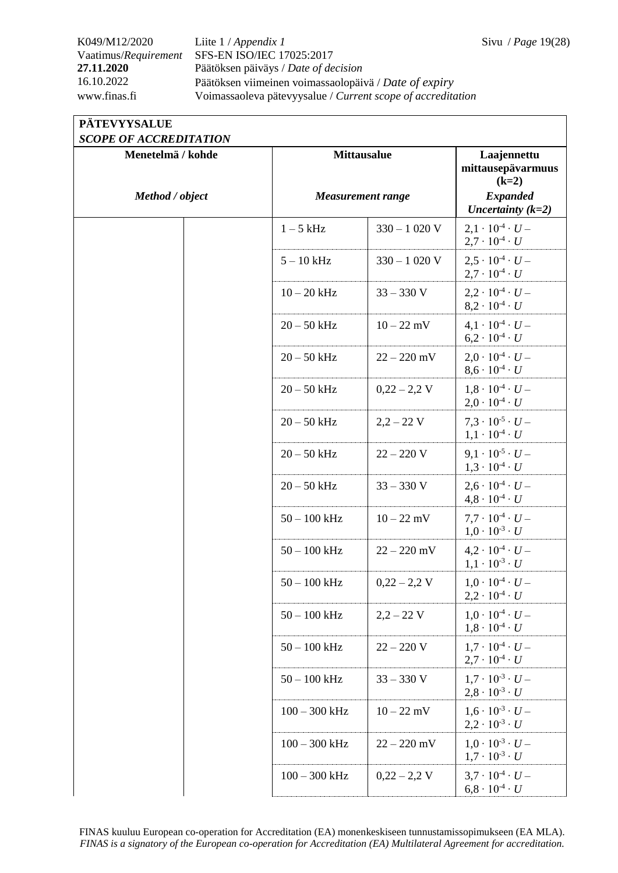## K049/M12/2020 Liite 1 / *Appendix 1* Sivu / *Page* 19(28) Vaatimus/*Requirement* SFS-EN ISO/IEC 17025:2017 **27.11.2020** Päätöksen päiväys / *Date of decision* 16.10.2022 Päätöksen viimeinen voimassaolopäivä / *Date of expiry* www.finas.fi Voimassaoleva pätevyysalue / *Current scope of accreditation*

## **PÄTEVYYSALUE**

*SCOPE OF ACCREDITATION*

| SCUPE OF ACCREDITATION<br>Menetelmä / kohde |  | <b>Mittausalue</b>       |                | Laajennettu                                                  |
|---------------------------------------------|--|--------------------------|----------------|--------------------------------------------------------------|
|                                             |  |                          |                | mittausepävarmuus<br>$(k=2)$                                 |
| Method / object                             |  | <b>Measurement range</b> |                | <b>Expanded</b><br>Uncertainty $(k=2)$                       |
|                                             |  | $1-5$ kHz                | $330 - 1020$ V | $2.1 \cdot 10^{-4} \cdot U -$<br>$2.7 \cdot 10^{-4} \cdot U$ |
|                                             |  | $5 - 10$ kHz             | $330 - 1020$ V | $2.5 \cdot 10^{-4} \cdot U -$<br>$2.7 \cdot 10^{-4} \cdot U$ |
|                                             |  | $10-20$ kHz              | $33 - 330$ V   | $2,2 \cdot 10^{-4} \cdot U -$<br>$8.2 \cdot 10^{-4} \cdot U$ |
|                                             |  | $20 - 50$ kHz            | $10 - 22$ mV   | $4.1 \cdot 10^{-4} \cdot U -$<br>$6.2 \cdot 10^{-4} \cdot U$ |
|                                             |  | $20 - 50$ kHz            | $22 - 220$ mV  | $2.0 \cdot 10^{-4} \cdot U -$<br>$8.6 \cdot 10^{-4} \cdot U$ |
|                                             |  | $20 - 50$ kHz            | $0,22 - 2,2$ V | $1,8 \cdot 10^{-4} \cdot U -$<br>$2.0 \cdot 10^{-4} \cdot U$ |
|                                             |  | $20 - 50$ kHz            | $2,2 - 22$ V   | $7.3 \cdot 10^{-5} \cdot U -$<br>$1,1 \cdot 10^{-4} \cdot U$ |
|                                             |  | $20 - 50$ kHz            | $22 - 220$ V   | $9.1 \cdot 10^{-5} \cdot U -$<br>$1,3 \cdot 10^{-4} \cdot U$ |
|                                             |  | $20-50$ kHz              | $33 - 330$ V   | $2.6 \cdot 10^{-4} \cdot U -$<br>$4,8 \cdot 10^{-4} \cdot U$ |
|                                             |  | $50 - 100$ kHz           | $10 - 22$ mV   | $7.7 \cdot 10^{-4} \cdot U -$<br>$1.0 \cdot 10^{-3} \cdot U$ |
|                                             |  | $50 - 100$ kHz           | $22 - 220$ mV  | $4,2 \cdot 10^{-4} \cdot U -$<br>$1.1 \cdot 10^{-3} \cdot U$ |
|                                             |  | $50 - 100$ kHz           | $0,22 - 2,2$ V | $1.0 \cdot 10^{-4} \cdot U -$<br>$2,2 \cdot 10^{4} \cdot U$  |
|                                             |  | $50 - 100$ kHz           | $2,2 - 22$ V   | $1.0 \cdot 10^{-4} \cdot U -$<br>$1,8 \cdot 10^{-4} \cdot U$ |
|                                             |  | $50-100$ kHz             | $22 - 220$ V   | $1.7 \cdot 10^{-4} \cdot U -$<br>$2.7 \cdot 10^{-4} \cdot U$ |
|                                             |  | $50 - 100$ kHz           | $33 - 330$ V   | $1.7 \cdot 10^{-3} \cdot U -$<br>$2,8 \cdot 10^{-3} \cdot U$ |
|                                             |  | $100 - 300$ kHz          | $10 - 22$ mV   | $1.6 \cdot 10^{-3} \cdot U -$<br>$2.2 \cdot 10^{-3} \cdot U$ |
|                                             |  | $100 - 300$ kHz          | $22 - 220$ mV  | $1.0 \cdot 10^{-3} \cdot U -$<br>$1.7 \cdot 10^{-3} \cdot U$ |
|                                             |  | $100 - 300$ kHz          | $0,22 - 2,2$ V | $3.7 \cdot 10^{-4} \cdot U -$<br>$6.8 \cdot 10^{-4} \cdot U$ |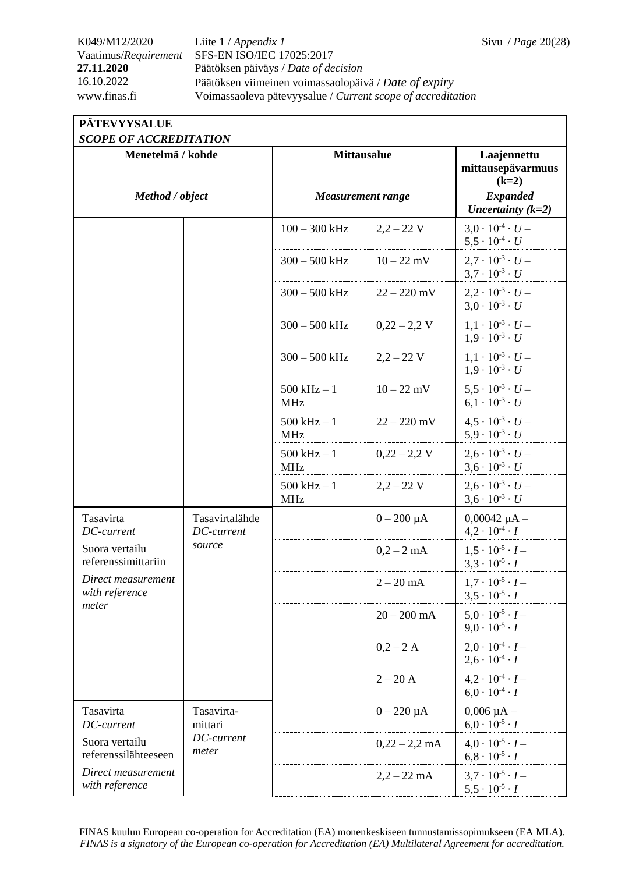## K049/M12/2020 Liite 1 / *Appendix 1* Sivu / *Page* 20(28) Vaatimus/*Requirement* SFS-EN ISO/IEC 17025:2017 **27.11.2020** Päätöksen päiväys / *Date of decision* 16.10.2022 Päätöksen viimeinen voimassaolopäivä / *Date of expiry* www.finas.fi Voimassaoleva pätevyysalue / *Current scope of accreditation*

## **PÄTEVYYSALUE**

| <b>SCOPE OF ACCREDITATION</b>                                                           |                              |                              |                                                              |                                                              |  |
|-----------------------------------------------------------------------------------------|------------------------------|------------------------------|--------------------------------------------------------------|--------------------------------------------------------------|--|
| Menetelmä / kohde<br>Method / object                                                    |                              | <b>Mittausalue</b>           |                                                              | Laajennettu<br>mittausepävarmuus<br>$(k=2)$                  |  |
|                                                                                         |                              | <b>Measurement range</b>     |                                                              | <b>Expanded</b><br>Uncertainty $(k=2)$                       |  |
|                                                                                         |                              | $100 - 300$ kHz              | $2,2 - 22$ V                                                 | $3.0 \cdot 10^{-4} \cdot U -$<br>$5.5 \cdot 10^{-4} \cdot U$ |  |
|                                                                                         |                              | $300 - 500$ kHz              | $10 - 22$ mV                                                 | $2.7 \cdot 10^{-3} \cdot U -$<br>$3.7 \cdot 10^{-3} \cdot U$ |  |
|                                                                                         |                              | $300 - 500$ kHz              | $22 - 220$ mV                                                | $2.2 \cdot 10^{-3} \cdot U -$<br>$3.0 \cdot 10^{-3} \cdot U$ |  |
|                                                                                         |                              | $300 - 500$ kHz              | $0,22 - 2,2$ V                                               | $1.1 \cdot 10^{-3} \cdot U -$<br>$1.9 \cdot 10^{-3} \cdot U$ |  |
|                                                                                         |                              | $300 - 500$ kHz              | $2,2 - 22$ V                                                 | $1.1 \cdot 10^{-3} \cdot U -$<br>$1.9 \cdot 10^{-3} \cdot U$ |  |
|                                                                                         |                              | $500$ kHz $-1$<br><b>MHz</b> | $10 - 22$ mV                                                 | $5.5 \cdot 10^{-3} \cdot U -$<br>$6.1 \cdot 10^{-3} \cdot U$ |  |
|                                                                                         |                              | $500$ kHz $-1$<br><b>MHz</b> | $22 - 220$ mV                                                | $4.5 \cdot 10^{-3} \cdot U -$<br>$5.9 \cdot 10^{-3} \cdot U$ |  |
|                                                                                         |                              | $500$ kHz $-1$<br><b>MHz</b> | $0,22 - 2,2$ V                                               | $2.6 \cdot 10^{-3} \cdot U -$<br>$3.6 \cdot 10^{-3} \cdot U$ |  |
|                                                                                         |                              | $500$ kHz $-1$<br><b>MHz</b> | $2,2 - 22$ V                                                 | $2.6 \cdot 10^{-3} \cdot U -$<br>$3.6 \cdot 10^{-3} \cdot U$ |  |
| Tasavirta<br>DC-current                                                                 | Tasavirtalähde<br>DC-current |                              | $0 - 200 \mu A$                                              | $0,00042 \mu A -$<br>$4.2 \cdot 10^{-4} \cdot I$             |  |
| source<br>Suora vertailu<br>referenssimittariin<br>Direct measurement<br>with reference |                              | $0,2 - 2$ mA                 | $1.5 \cdot 10^{-5} \cdot I -$<br>$3.3 \cdot 10^{-5} \cdot I$ |                                                              |  |
|                                                                                         |                              |                              | $2 - 20$ mA                                                  | $1.7 \cdot 10^{-5} \cdot I -$<br>$3,5 \cdot 10^{-5} \cdot I$ |  |
| meter                                                                                   |                              |                              | $20 - 200$ mA                                                | $5.0 \cdot 10^{-5} \cdot I -$<br>$9.0 \cdot 10^{-5} \cdot I$ |  |
|                                                                                         |                              |                              | $0,2 - 2$ A                                                  | $2.0 \cdot 10^{-4} \cdot I -$<br>$2,6 \cdot 10^{-4} \cdot I$ |  |
|                                                                                         |                              |                              | $2 - 20$ A                                                   | $4,2 \cdot 10^{-4} \cdot I -$<br>$6.0 \cdot 10^{-4} \cdot I$ |  |
| Tasavirta<br>DC-current                                                                 | Tasavirta-<br>mittari        |                              | $0 - 220 \mu A$                                              | $0,006 \mu A -$<br>$6.0 \cdot 10^{-5} \cdot I$               |  |
| Suora vertailu<br>referenssilähteeseen                                                  | DC-current<br>meter          |                              | $0,22 - 2,2$ mA                                              | $4.0 \cdot 10^{-5} \cdot I -$<br>$6,8 \cdot 10^{-5} \cdot I$ |  |
| Direct measurement<br>with reference                                                    |                              |                              | $2,2 - 22$ mA                                                | $3.7 \cdot 10^{-5} \cdot I -$<br>$5,5 \cdot 10^{-5} \cdot I$ |  |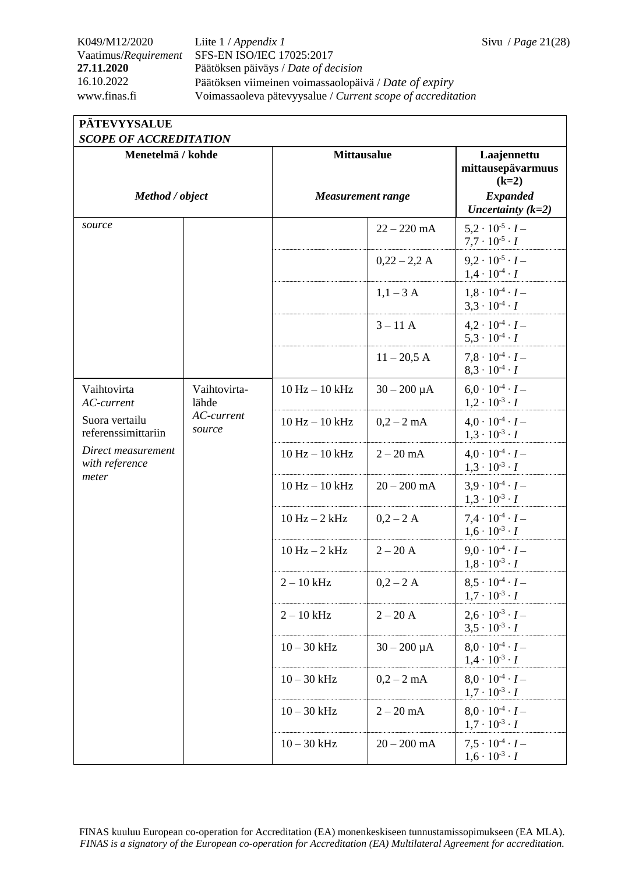## K049/M12/2020 Liite 1 / *Appendix 1* Sivu / *Page* 21(28) Vaatimus/*Requirement* SFS-EN ISO/IEC 17025:2017 **27.11.2020** Päätöksen päiväys / *Date of decision* 16.10.2022 Päätöksen viimeinen voimassaolopäivä / *Date of expiry* www.finas.fi Voimassaoleva pätevyysalue / *Current scope of accreditation*

### **PÄTEVYYSALUE**  *SCOPE OF ACCREDITATION*

| SCOPE OF ACCREDITATION                                                                 |                       |                          |                  |                                                              |  |
|----------------------------------------------------------------------------------------|-----------------------|--------------------------|------------------|--------------------------------------------------------------|--|
| Menetelmä / kohde                                                                      |                       | <b>Mittausalue</b>       |                  | Laajennettu<br>mittausepävarmuus<br>$(k=2)$                  |  |
| Method / object                                                                        |                       | <b>Measurement range</b> |                  | <b>Expanded</b><br>Uncertainty $(k=2)$                       |  |
| source                                                                                 |                       |                          | $22 - 220$ mA    | $5.2 \cdot 10^{-5} \cdot I -$<br>$7.7 \cdot 10^{-5} \cdot I$ |  |
|                                                                                        |                       |                          | $0,22 - 2,2 A$   | $9.2 \cdot 10^{-5} \cdot I -$<br>$1,4 \cdot 10^{-4} \cdot I$ |  |
|                                                                                        |                       |                          | $1,1-3$ A        | $1.8 \cdot 10^{-4} \cdot I -$<br>$3.3 \cdot 10^{-4} \cdot I$ |  |
|                                                                                        |                       |                          | $3 - 11$ A       | $4,2 \cdot 10^{-4} \cdot I -$<br>$5,3 \cdot 10^{-4} \cdot I$ |  |
|                                                                                        |                       |                          | $11 - 20,5$ A    | $7.8 \cdot 10^{-4} \cdot I -$<br>$8.3 \cdot 10^{-4} \cdot I$ |  |
| Vaihtovirta<br>AC-current                                                              | Vaihtovirta-<br>lähde | $10 Hz - 10 kHz$         | $30 - 200 \mu A$ | $6.0 \cdot 10^{-4} \cdot I -$<br>$1,2 \cdot 10^{-3} \cdot I$ |  |
| Suora vertailu<br>referenssimittariin<br>Direct measurement<br>with reference<br>meter | AC-current<br>source  | $10 Hz - 10 kHz$         | $0,2 - 2$ mA     | $4.0 \cdot 10^{-4} \cdot I -$<br>$1,3 \cdot 10^{-3} \cdot I$ |  |
|                                                                                        |                       | $10 Hz - 10 kHz$         | $2 - 20$ mA      | $4.0 \cdot 10^{-4} \cdot I -$<br>$1,3 \cdot 10^{-3} \cdot I$ |  |
|                                                                                        |                       | $10 Hz - 10 kHz$         | $20 - 200$ mA    | $3.9 \cdot 10^{-4} \cdot I -$<br>$1,3 \cdot 10^{-3} \cdot I$ |  |
|                                                                                        |                       | $10 Hz - 2 kHz$          | $0,2 - 2$ A      | $7.4 \cdot 10^{-4} \cdot I -$<br>$1,6 \cdot 10^{-3} \cdot I$ |  |
|                                                                                        |                       | $10 Hz - 2 kHz$          | $2 - 20$ A       | $9.0 \cdot 10^{-4} \cdot I -$<br>$1.8 \cdot 10^{-3} \cdot I$ |  |
|                                                                                        |                       | $2 - 10$ kHz             | $0,2 - 2$ A      | $8.5 \cdot 10^{-4} \cdot I -$<br>$1,7 \cdot 10^{-3} \cdot I$ |  |
|                                                                                        |                       | $2 - 10$ kHz             | $2 - 20$ A       | $2,6 \cdot 10^{-3} \cdot I -$<br>$3.5 \cdot 10^{-3} \cdot I$ |  |
|                                                                                        |                       | $10 - 30$ kHz            | $30 - 200 \mu A$ | $8.0 \cdot 10^{-4} \cdot I -$<br>$1.4 \cdot 10^{-3} \cdot I$ |  |
|                                                                                        |                       | $10 - 30$ kHz            | $0,2 - 2$ mA     | $8.0 \cdot 10^{-4} \cdot I -$<br>$1,7 \cdot 10^{-3} \cdot I$ |  |
|                                                                                        |                       | $10 - 30$ kHz            | $2 - 20$ mA      | $8.0 \cdot 10^{-4} \cdot I -$<br>$1.7 \cdot 10^{-3} \cdot I$ |  |
|                                                                                        |                       | $10 - 30$ kHz            | $20 - 200$ mA    | $7.5 \cdot 10^{-4} \cdot I -$<br>$1,6 \cdot 10^{-3} \cdot I$ |  |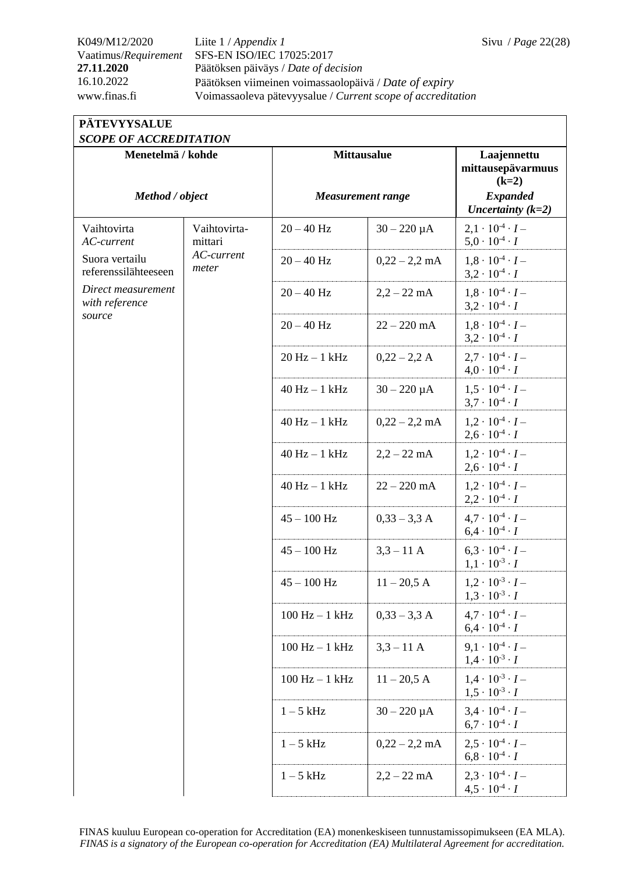## K049/M12/2020 Liite 1 / *Appendix 1* Sivu / *Page* 22(28) Vaatimus/*Requirement* SFS-EN ISO/IEC 17025:2017 **27.11.2020** Päätöksen päiväys / *Date of decision* 16.10.2022 Päätöksen viimeinen voimassaolopäivä / *Date of expiry* www.finas.fi Voimassaoleva pätevyysalue / *Current scope of accreditation*

### **PÄTEVYYSALUE**  *SCOPE OF ACCREDITATION*

| SCUPE OF ACCREDITATION                 |                         |                          |                  |                                                              |
|----------------------------------------|-------------------------|--------------------------|------------------|--------------------------------------------------------------|
| Menetelmä / kohde                      |                         | <b>Mittausalue</b>       |                  | Laajennettu<br>mittausepävarmuus<br>$(k=2)$                  |
| Method / object                        |                         | <b>Measurement range</b> |                  | <b>Expanded</b><br>Uncertainty $(k=2)$                       |
| Vaihtovirta<br>AC-current              | Vaihtovirta-<br>mittari | $20 - 40$ Hz             | $30 - 220 \mu A$ | $2,1 \cdot 10^{-4} \cdot I -$<br>$5.0 \cdot 10^{-4} \cdot I$ |
| Suora vertailu<br>referenssilähteeseen | AC-current<br>meter     | $20 - 40$ Hz             | $0,22 - 2,2$ mA  | $1.8 \cdot 10^{-4} \cdot I -$<br>$3,2 \cdot 10^{-4} \cdot I$ |
| Direct measurement<br>with reference   |                         | $20 - 40$ Hz             | $2,2 - 22$ mA    | $1.8 \cdot 10^{-4} \cdot I -$<br>$3.2 \cdot 10^{-4} \cdot I$ |
| source                                 |                         | $20 - 40$ Hz             | $22 - 220$ mA    | $1.8 \cdot 10^{-4} \cdot I -$<br>$3,2 \cdot 10^{-4} \cdot I$ |
|                                        |                         | $20 Hz - 1 kHz$          | $0,22 - 2,2 A$   | $2.7 \cdot 10^{-4} \cdot I -$<br>$4.0 \cdot 10^{-4} \cdot I$ |
|                                        |                         | $40$ Hz $-1$ kHz         | $30 - 220 \mu A$ | $1.5 \cdot 10^{-4} \cdot I -$<br>$3.7 \cdot 10^{-4} \cdot I$ |
|                                        |                         | $40$ Hz $-1$ kHz         | $0,22 - 2,2$ mA  | $1.2 \cdot 10^{-4} \cdot I -$<br>$2,6 \cdot 10^{-4} \cdot I$ |
|                                        |                         | $40$ Hz $-1$ kHz         | $2,2 - 22$ mA    | $1,2 \cdot 10^{-4} \cdot I -$<br>$2.6 \cdot 10^{-4} \cdot I$ |
|                                        |                         | $40$ Hz $-1$ kHz         | $22 - 220$ mA    | $1.2 \cdot 10^{-4} \cdot I -$<br>$2,2 \cdot 10^{-4} \cdot I$ |
|                                        |                         | $45 - 100$ Hz            | $0,33 - 3,3$ A   | $4.7 \cdot 10^{-4} \cdot I -$<br>$6.4 \cdot 10^{-4} \cdot I$ |
|                                        |                         | $45 - 100$ Hz            | $3,3 - 11$ A     | $6.3 \cdot 10^{-4} \cdot I -$<br>$1.1 \cdot 10^{-3} \cdot I$ |
|                                        |                         | $45 - 100$ Hz            | $11 - 20,5$ A    | $1.2 \cdot 10^{-3} \cdot I -$<br>$1.3 \cdot 10^{-3} \cdot I$ |
|                                        |                         | $100 Hz - 1 kHz$         | $0,33 - 3,3$ A   | $4.7 \cdot 10^{-4} \cdot I -$<br>$6.4 \cdot 10^{-4} \cdot I$ |
|                                        |                         | $100 Hz - 1 kHz$         | $3,3 - 11$ A     | $9.1 \cdot 10^{-4} \cdot I -$<br>$1.4 \cdot 10^{-3} \cdot I$ |
|                                        |                         | $100 Hz - 1 kHz$         | $11 - 20,5$ A    | $1.4 \cdot 10^{-3} \cdot I -$<br>$1.5 \cdot 10^{-3} \cdot I$ |
|                                        |                         | $1-5$ kHz                | $30 - 220 \mu A$ | $3.4 \cdot 10^{-4} \cdot I -$<br>$6.7 \cdot 10^{-4} \cdot I$ |
|                                        |                         | $1-5$ kHz                | $0,22 - 2,2$ mA  | $2.5 \cdot 10^{-4} \cdot I -$<br>$6.8 \cdot 10^{-4} \cdot I$ |
|                                        |                         | $1-5$ kHz                | $2,2 - 22$ mA    | $2.3 \cdot 10^{-4} \cdot I -$<br>$4,5 \cdot 10^{-4} \cdot I$ |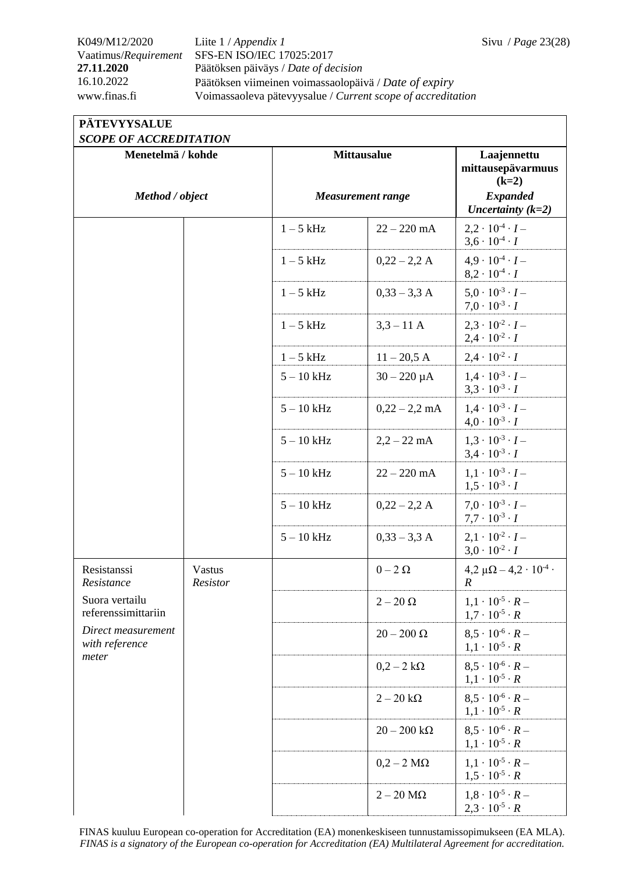## K049/M12/2020 Liite 1 / *Appendix 1* Sivu / *Page* 23(28) Vaatimus/*Requirement* SFS-EN ISO/IEC 17025:2017 **27.11.2020** Päätöksen päiväys / *Date of decision* 16.10.2022 Päätöksen viimeinen voimassaolopäivä / *Date of expiry* www.finas.fi Voimassaoleva pätevyysalue / *Current scope of accreditation*

## **PÄTEVYYSALUE**

| bcoll of accalibitation<br>Menetelmä / kohde                                           |                           | <b>Mittausalue</b>       |                        | Laajennettu<br>mittausepävarmuus                              |
|----------------------------------------------------------------------------------------|---------------------------|--------------------------|------------------------|---------------------------------------------------------------|
| Method / object                                                                        |                           | <b>Measurement range</b> |                        | $(k=2)$<br><b>Expanded</b><br>Uncertainty $(k=2)$             |
|                                                                                        |                           | $1-5$ kHz                | $22 - 220$ mA          | $2,2 \cdot 10^{-4} \cdot I -$<br>$3,6 \cdot 10^{-4} \cdot I$  |
|                                                                                        |                           | $1-5$ kHz                | $0,22 - 2,2 A$         | $4.9 \cdot 10^{-4} \cdot I -$<br>$8.2 \cdot 10^{-4} \cdot I$  |
|                                                                                        |                           | $1-5$ kHz                | $0,33 - 3,3$ A         | $5.0 \cdot 10^{-3} \cdot I -$<br>$7.0 \cdot 10^{-3} \cdot I$  |
|                                                                                        |                           | $1-5$ kHz                | $3,3 - 11$ A           | $2.3 \cdot 10^{-2} \cdot I -$<br>$2,4 \cdot 10^{-2} \cdot I$  |
|                                                                                        |                           | $1-5$ kHz                | $11 - 20,5$ A          | $2.4 \cdot 10^{-2} \cdot I$                                   |
|                                                                                        |                           | $5 - 10$ kHz             | $30 - 220 \mu A$       | $1.4 \cdot 10^{-3} \cdot I -$<br>$3,3 \cdot 10^{-3} \cdot I$  |
|                                                                                        |                           | $5 - 10$ kHz             | $0,22 - 2,2$ mA        | $1.4 \cdot 10^{-3} \cdot I -$<br>$4.0 \cdot 10^{-3} \cdot I$  |
|                                                                                        |                           | $5 - 10$ kHz             | $2,2 - 22$ mA          | $1.3 \cdot 10^{-3} \cdot I -$<br>$3,4 \cdot 10^{-3} \cdot I$  |
|                                                                                        |                           | $5 - 10$ kHz             | $22 - 220$ mA          | $1.1 \cdot 10^{-3} \cdot I -$<br>$1.5 \cdot 10^{-3} \cdot I$  |
|                                                                                        |                           | $5 - 10$ kHz             | $0,22 - 2,2 A$         | $7.0 \cdot 10^{-3} \cdot I -$<br>$7.7 \cdot 10^{-3} \cdot I$  |
|                                                                                        |                           | $5 - 10$ kHz             | $0,33 - 3,3$ A         | $2.1 \cdot 10^{-2} \cdot I -$<br>$3,0 \cdot 10^{-2} \cdot I$  |
| Resistanssi<br>Resistance                                                              | <b>Vastus</b><br>Resistor |                          | $0-2\ \Omega$          | $4,2 \mu\Omega - 4,2 \cdot 10^{-4}$<br>R                      |
| Suora vertailu<br>referenssimittariin<br>Direct measurement<br>with reference<br>meter |                           |                          | $2-20~\Omega$          | $1,1 \cdot 10^{-5} \cdot R -$<br>$1.7 \cdot 10^{-5} \cdot R$  |
|                                                                                        |                           |                          | $20-200$ $\Omega$      | $8.5 \cdot 10^{-6} \cdot R -$<br>$1, 1 \cdot 10^{-5} \cdot R$ |
|                                                                                        |                           |                          | $0,2-2 k\Omega$        | $8.5 \cdot 10^{-6} \cdot R -$<br>$1,1 \cdot 10^{-5} \cdot R$  |
|                                                                                        |                           |                          | $2-20\;k\Omega$        | $8.5 \cdot 10^{-6} \cdot R -$<br>$1,1 \cdot 10^{-5} \cdot R$  |
|                                                                                        |                           |                          | $20-200\;k\Omega$      | $8.5 \cdot 10^{-6} \cdot R -$<br>$1.1 \cdot 10^{-5} \cdot R$  |
|                                                                                        |                           |                          | $0,2-2$ M $\Omega$     | $1.1 \cdot 10^{-5} \cdot R -$<br>$1.5 \cdot 10^{-5} \cdot R$  |
|                                                                                        |                           |                          | $2-20 \text{ M}\Omega$ | $1.8 \cdot 10^{-5} \cdot R -$<br>$2,3 \cdot 10^{-5} \cdot R$  |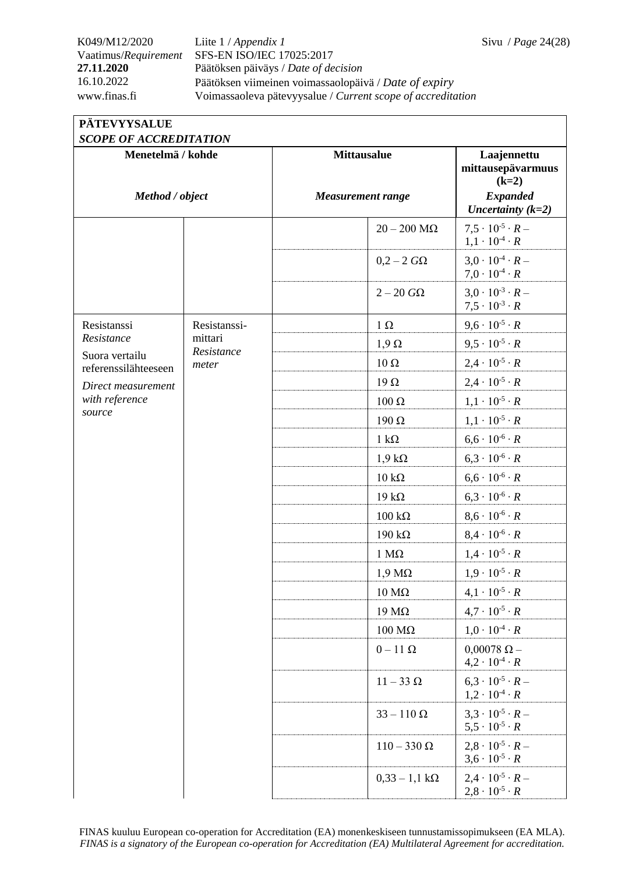## K049/M12/2020 Liite 1 / *Appendix 1* Sivu / *Page* 24(28) Vaatimus/*Requirement* SFS-EN ISO/IEC 17025:2017 **27.11.2020** Päätöksen päiväys / *Date of decision* 16.10.2022 Päätöksen viimeinen voimassaolopäivä / *Date of expiry* www.finas.fi Voimassaoleva pätevyysalue / *Current scope of accreditation*

| <b>PÄTEVYYSALUE</b> |  |
|---------------------|--|
|                     |  |

| <b>SCOPE OF ACCREDITATION</b>          |                       |                          |                         |                                                               |  |
|----------------------------------------|-----------------------|--------------------------|-------------------------|---------------------------------------------------------------|--|
| Menetelmä / kohde                      |                       | <b>Mittausalue</b>       |                         | Laajennettu<br>mittausepävarmuus<br>$(k=2)$                   |  |
| Method / object                        |                       | <b>Measurement range</b> |                         | <b>Expanded</b><br>Uncertainty $(k=2)$                        |  |
|                                        |                       |                          | $20-200$ M $\Omega$     | $7.5 \cdot 10^{-5} \cdot R -$<br>$1, 1 \cdot 10^{-4} \cdot R$ |  |
|                                        |                       |                          | $0,2-2$ $G\Omega$       | $3.0 \cdot 10^{-4} \cdot R -$<br>$7.0 \cdot 10^{-4} \cdot R$  |  |
|                                        |                       |                          | $2-20~G\Omega$          | $3.0 \cdot 10^{-3} \cdot R -$<br>$7,5 \cdot 10^{-3} \cdot R$  |  |
| Resistanssi                            | Resistanssi-          |                          | $1 \Omega$              | $9,6 \cdot 10^{-5} \cdot R$                                   |  |
| Resistance                             | mittari<br>Resistance |                          | $1,9 \Omega$            | $9.5 \cdot 10^{-5} \cdot R$                                   |  |
| Suora vertailu<br>referenssilähteeseen | meter                 |                          | $10 \Omega$             | $2,4 \cdot 10^{-5} \cdot R$                                   |  |
| Direct measurement                     |                       |                          | 19 $\Omega$             | $2,4 \cdot 10^{-5} \cdot R$                                   |  |
| with reference                         |                       |                          | $100 \Omega$            | $1, 1 \cdot 10^{-5} \cdot R$                                  |  |
| source                                 |                       |                          | $190 \Omega$            | $1, 1 \cdot 10^{-5} \cdot R$                                  |  |
|                                        |                       |                          | $1 \text{ k}\Omega$     | $6,6 \cdot 10^{-6} \cdot R$                                   |  |
|                                        |                       |                          | $1,9 k\Omega$           | $6,3 \cdot 10^{-6} \cdot R$                                   |  |
|                                        |                       |                          | $10 \text{ k}\Omega$    | $6,6 \cdot 10^{-6} \cdot R$                                   |  |
|                                        |                       |                          | $19 k\Omega$            | $6,3 \cdot 10^{-6} \cdot R$                                   |  |
|                                        |                       |                          | $100 \text{ k}\Omega$   | $8,6 \cdot 10^{-6} \cdot R$                                   |  |
|                                        |                       |                          | $190 k\Omega$           | $8,4 \cdot 10^{-6} \cdot R$                                   |  |
|                                        |                       |                          | $1 M\Omega$             | $1,4 \cdot 10^{-5} \cdot R$                                   |  |
|                                        |                       |                          | $1,9 \text{ M}\Omega$   | $1,9 \cdot 10^{-5} \cdot R$                                   |  |
|                                        |                       |                          | $10 \text{ M}\Omega$    | $4.1 \cdot 10^{-5} \cdot R$                                   |  |
|                                        |                       |                          | 19 $M\Omega$            | $4.7 \cdot 10^{-5} \cdot R$                                   |  |
|                                        |                       |                          | $100\ \mathrm{M}\Omega$ | $1.0 \cdot 10^{-4} \cdot R$                                   |  |
|                                        |                       |                          | $0-11$ $\Omega$         | $0,00078 \Omega -$<br>$4,2 \cdot 10^{-4} \cdot R$             |  |
|                                        |                       |                          | $11-33 \Omega$          | $6.3 \cdot 10^{-5} \cdot R -$<br>$1,2 \cdot 10^{-4} \cdot R$  |  |
|                                        |                       |                          | $33 - 110 \Omega$       | $3.3 \cdot 10^{-5} \cdot R -$<br>$5.5 \cdot 10^{-5} \cdot R$  |  |
|                                        |                       |                          | $110-330 \Omega$        | $2.8 \cdot 10^{-5} \cdot R -$<br>$3,6 \cdot 10^{-5} \cdot R$  |  |
|                                        |                       |                          | $0,33 - 1,1 k\Omega$    | $2.4 \cdot 10^{-5} \cdot R -$<br>$2,8 \cdot 10^{-5} \cdot R$  |  |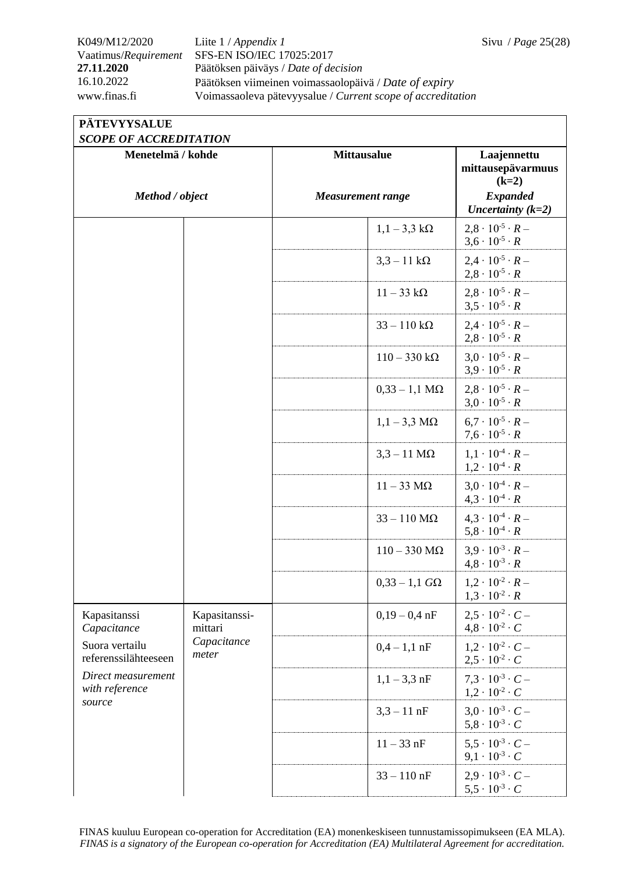K049/M12/2020 Liite 1 / *Appendix 1* Sivu / *Page* 25(28) Vaatimus/*Requirement* SFS-EN ISO/IEC 17025:2017 **27.11.2020** Päätöksen päiväys / *Date of decision* 16.10.2022 Päätöksen viimeinen voimassaolopäivä / *Date of expiry* www.finas.fi Voimassaoleva pätevyysalue / *Current scope of accreditation*

## **PÄTEVYYSALUE**

| Menetelmä / kohde                                                                                                       |                                                  | <b>Mittausalue</b>         | Laajennettu<br>mittausepävarmuus<br>$(k=2)$                  |
|-------------------------------------------------------------------------------------------------------------------------|--------------------------------------------------|----------------------------|--------------------------------------------------------------|
| Method / object                                                                                                         |                                                  | <b>Measurement range</b>   | <b>Expanded</b><br>Uncertainty $(k=2)$                       |
|                                                                                                                         |                                                  | $1,1-3,3 k\Omega$          | $2.8 \cdot 10^{-5} \cdot R -$<br>$3.6 \cdot 10^{-5} \cdot R$ |
|                                                                                                                         |                                                  | $3,3 - 11 \text{ k}\Omega$ | $2.4 \cdot 10^{-5} \cdot R -$<br>$2.8 \cdot 10^{-5} \cdot R$ |
|                                                                                                                         |                                                  | $11-33$ kΩ                 | $2.8 \cdot 10^{-5} \cdot R$ –<br>$3.5 \cdot 10^{-5} \cdot R$ |
|                                                                                                                         |                                                  | $33 - 110 k\Omega$         | $2.4 \cdot 10^{-5} \cdot R -$<br>$2.8 \cdot 10^{-5} \cdot R$ |
|                                                                                                                         |                                                  | $110-330 k\Omega$          | $3.0 \cdot 10^{-5} \cdot R$ –<br>$3.9 \cdot 10^{-5} \cdot R$ |
|                                                                                                                         |                                                  | $0.33 - 1.1 M\Omega$       | $2.8 \cdot 10^{-5} \cdot R$ –<br>$3.0 \cdot 10^{-5} \cdot R$ |
|                                                                                                                         |                                                  | $1,1-3,3$ M $\Omega$       | $6.7 \cdot 10^{-5} \cdot R -$<br>$7.6 \cdot 10^{-5} \cdot R$ |
|                                                                                                                         |                                                  | $3,3-11$ M $\Omega$        | $1.1 \cdot 10^{-4} \cdot R -$<br>$1,2 \cdot 10^{-4} \cdot R$ |
|                                                                                                                         |                                                  | $11 - 33 \text{ M}\Omega$  | $3.0 \cdot 10^{-4} \cdot R -$<br>$4.3 \cdot 10^{-4} \cdot R$ |
|                                                                                                                         |                                                  | $33 - 110$ M $\Omega$      | $4.3 \cdot 10^{-4} \cdot R -$<br>$5.8 \cdot 10^{-4} \cdot R$ |
|                                                                                                                         |                                                  | $110 - 330$ M $\Omega$     | $3.9 \cdot 10^{-3} \cdot R -$<br>$4.8 \cdot 10^{-3} \cdot R$ |
|                                                                                                                         |                                                  | $0,33 - 1,1$ $G\Omega$     | $1,2 \cdot 10^{-2} \cdot R -$<br>$1,3 \cdot 10^{-2} \cdot R$ |
| Kapasitanssi<br>Capacitance<br>Suora vertailu<br>referenssilähteeseen<br>Direct measurement<br>with reference<br>source | Kapasitanssi-<br>mittari<br>Capacitance<br>meter | $0.19 - 0.4$ nF            | $2.5 \cdot 10^{-2} \cdot C -$<br>$4,8 \cdot 10^{-2} \cdot C$ |
|                                                                                                                         |                                                  | $0,4-1,1$ nF               | $1.2 \cdot 10^{-2} \cdot C -$<br>$2.5 \cdot 10^{-2} \cdot C$ |
|                                                                                                                         |                                                  | $1,1-3,3$ nF               | $7.3 \cdot 10^{-3} \cdot C -$<br>$1,2 \cdot 10^{-2} \cdot C$ |
|                                                                                                                         |                                                  | $3,3 - 11$ nF              | $3.0 \cdot 10^{-3} \cdot C$ –<br>$5,8 \cdot 10^{-3} \cdot C$ |
|                                                                                                                         |                                                  | $11 - 33$ nF               | $5.5 \cdot 10^{-3} \cdot C -$<br>$9,1 \cdot 10^{-3} \cdot C$ |
|                                                                                                                         |                                                  | $33 - 110$ nF              | $2.9 \cdot 10^{-3} \cdot C -$<br>$5.5 \cdot 10^{-3} \cdot C$ |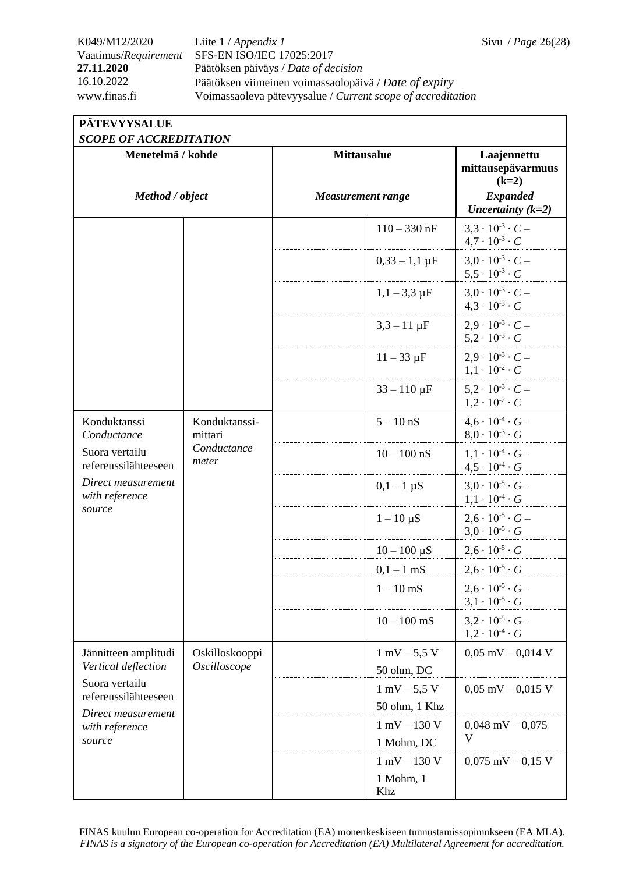K049/M12/2020 Liite 1 / *Appendix 1* Sivu / *Page* 26(28) Vaatimus/*Requirement* SFS-EN ISO/IEC 17025:2017 **27.11.2020** Päätöksen päiväys / *Date of decision* 16.10.2022 Päätöksen viimeinen voimassaolopäivä / *Date of expiry* www.finas.fi Voimassaoleva pätevyysalue / *Current scope of accreditation*

## **PÄTEVYYSALUE**

|--|

| Menetelmä / kohde                                                                                                                       |                                                  | <b>Mittausalue</b>             | Laajennettu<br>mittausepävarmuus<br>$(k=2)$                  |
|-----------------------------------------------------------------------------------------------------------------------------------------|--------------------------------------------------|--------------------------------|--------------------------------------------------------------|
| Method / object                                                                                                                         |                                                  | <b>Measurement range</b>       | <b>Expanded</b><br>Uncertainty $(k=2)$                       |
|                                                                                                                                         |                                                  | $110 - 330$ nF                 | $3.3 \cdot 10^{-3} \cdot C -$<br>$4.7 \cdot 10^{-3} \cdot C$ |
|                                                                                                                                         |                                                  | $0,33 - 1,1 \,\mu F$           | $3.0 \cdot 10^{-3} \cdot C -$<br>$5.5 \cdot 10^{-3} \cdot C$ |
|                                                                                                                                         |                                                  | $1,1-3,3 \mu F$                | $3.0 \cdot 10^{-3} \cdot C$ –<br>$4.3 \cdot 10^{-3} \cdot C$ |
|                                                                                                                                         |                                                  | $3,3 - 11 \,\mu F$             | $2.9 \cdot 10^{-3} \cdot C -$<br>$5,2 \cdot 10^{-3} \cdot C$ |
|                                                                                                                                         |                                                  | $11 - 33 \mu F$                | $2.9 \cdot 10^{-3} \cdot C$ –<br>$1,1 \cdot 10^{-2} \cdot C$ |
|                                                                                                                                         |                                                  | $33 - 110 \,\mu F$             | $5.2 \cdot 10^{-3} \cdot C -$<br>$1,2 \cdot 10^{-2} \cdot C$ |
| Konduktanssi<br>Conductance                                                                                                             | Konduktanssi-<br>mittari<br>Conductance<br>meter | $5 - 10$ nS                    | $4.6 \cdot 10^{-4} \cdot G -$<br>$8.0 \cdot 10^{-3} \cdot G$ |
| Suora vertailu<br>referenssilähteeseen                                                                                                  |                                                  | $10 - 100$ nS                  | $1.1 \cdot 10^{-4} \cdot G -$<br>$4.5 \cdot 10^{-4} \cdot G$ |
| Direct measurement<br>with reference<br>source                                                                                          |                                                  | $0,1-1 \mu S$                  | $3.0 \cdot 10^{-5} \cdot G -$<br>$1,1 \cdot 10^{-4} \cdot G$ |
|                                                                                                                                         |                                                  | $1-10 \mu S$                   | $2.6 \cdot 10^{-5} \cdot G -$<br>$3.0 \cdot 10^{-5} \cdot G$ |
|                                                                                                                                         |                                                  | $10 - 100 \,\mu S$             | $2,6 \cdot 10^{-5} \cdot G$                                  |
|                                                                                                                                         |                                                  | $0,1-1$ mS                     | $2.6 \cdot 10^{-5} \cdot G$                                  |
|                                                                                                                                         |                                                  | $1 - 10$ mS                    | $2.6 \cdot 10^{-5} \cdot G -$<br>$3,1 \cdot 10^{-5} \cdot G$ |
|                                                                                                                                         |                                                  | $10 - 100$ mS                  | $3.2 \cdot 10^{-5} \cdot G$ –<br>$1,2 \cdot 10^{-4} \cdot G$ |
| Jännitteen amplitudi<br>Vertical deflection<br>Suora vertailu<br>referenssilähteeseen<br>Direct measurement<br>with reference<br>source | Oskilloskooppi<br>Oscilloscope                   | $1 \text{ mV} - 5.5 \text{ V}$ | $0,05$ mV $-0,014$ V                                         |
|                                                                                                                                         |                                                  | 50 ohm, DC                     |                                                              |
|                                                                                                                                         |                                                  | $1 \text{ mV} - 5.5 \text{ V}$ | $0,05$ mV $-0,015$ V                                         |
|                                                                                                                                         |                                                  | 50 ohm, 1 Khz                  |                                                              |
|                                                                                                                                         |                                                  | $1$ mV $-$ 130 V<br>1 Mohm, DC | $0,048$ mV $-0,075$<br>V                                     |
|                                                                                                                                         |                                                  | $1$ mV $-$ 130 V               | $0,075$ mV $-0,15$ V                                         |
|                                                                                                                                         |                                                  | 1 Mohm, 1<br>Khz               |                                                              |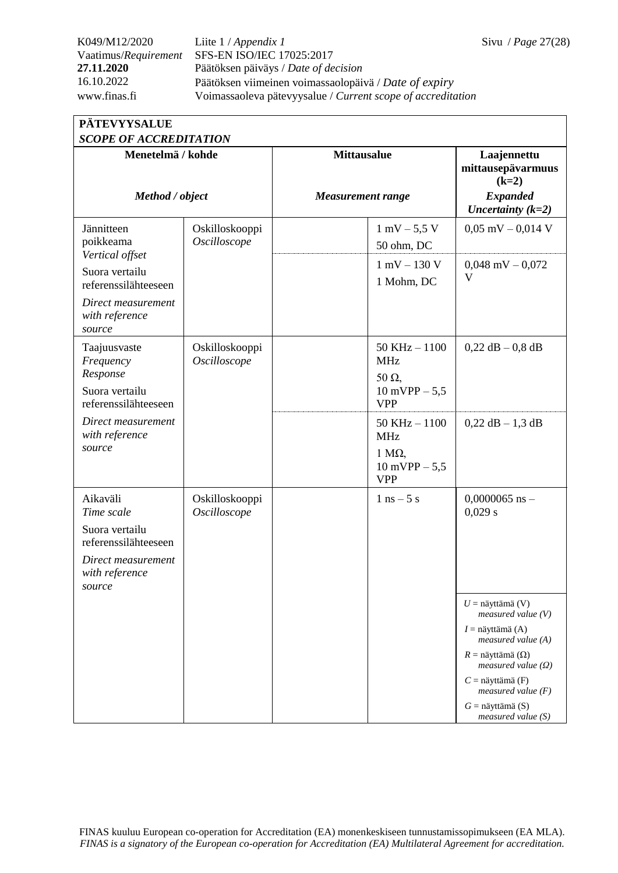K049/M12/2020 Liite 1 / *Appendix 1* Sivu / *Page* 27(28) Vaatimus/*Requirement* SFS-EN ISO/IEC 17025:2017 **27.11.2020** Päätöksen päiväys / *Date of decision* 16.10.2022 Päätöksen viimeinen voimassaolopäivä / *Date of expiry* www.finas.fi Voimassaoleva pätevyysalue / *Current scope of accreditation*

| <b>PATEVYYSALUE</b>           |
|-------------------------------|
| <b>SCOPE OF ACCREDITATION</b> |

| SCOPE OF ACCREDITATION                                    |                                |                          |                                                          |                                                          |  |
|-----------------------------------------------------------|--------------------------------|--------------------------|----------------------------------------------------------|----------------------------------------------------------|--|
| Menetelmä / kohde<br>Method / object                      |                                | <b>Mittausalue</b>       |                                                          | Laajennettu<br>mittausepävarmuus<br>$(k=2)$              |  |
|                                                           |                                | <b>Measurement range</b> |                                                          | <b>Expanded</b><br>Uncertainty $(k=2)$                   |  |
| Jännitteen<br>poikkeama                                   | Oskilloskooppi<br>Oscilloscope |                          | $1 \text{ mV} - 5.5 \text{ V}$<br>50 ohm, DC             | $0,05$ mV $-0,014$ V                                     |  |
| Vertical offset<br>Suora vertailu<br>referenssilähteeseen |                                |                          | $1 \text{ mV} - 130 \text{ V}$<br>1 Mohm, DC             | $0,048$ mV $-0,072$<br>V                                 |  |
| Direct measurement<br>with reference<br>source            |                                |                          |                                                          |                                                          |  |
| Taajuusvaste<br>Frequency<br>Response                     | Oskilloskooppi<br>Oscilloscope |                          | $50$ KHz $-1100$<br><b>MHz</b><br>$50 \Omega$            | $0,22$ dB $-0,8$ dB                                      |  |
| Suora vertailu<br>referenssilähteeseen                    |                                |                          | $10$ mVPP $- 5,5$<br><b>VPP</b>                          |                                                          |  |
| Direct measurement<br>with reference<br>source            |                                |                          | $50$ KHz $-1100$<br><b>MHz</b>                           | $0,22$ dB $-1,3$ dB                                      |  |
|                                                           |                                |                          | $1 \text{ M}\Omega$ ,<br>$10$ mVPP $- 5,5$<br><b>VPP</b> |                                                          |  |
| Aikaväli<br>Time scale                                    | Oskilloskooppi<br>Oscilloscope |                          | $1$ ns $-5$ s                                            | $0,0000065$ ns -<br>0,029 s                              |  |
| Suora vertailu<br>referenssilähteeseen                    |                                |                          |                                                          |                                                          |  |
| Direct measurement<br>with reference<br>source            |                                |                          |                                                          |                                                          |  |
|                                                           |                                |                          |                                                          | $U = n$ äyttämä (V)<br>measured value $(V)$              |  |
|                                                           |                                |                          |                                                          | $I =$ näyttämä (A)<br>measured value $(A)$               |  |
|                                                           |                                |                          |                                                          | $R =$ näyttämä ( $\Omega$ )<br>measured value $(\Omega)$ |  |
|                                                           |                                |                          |                                                          | $C =$ näyttämä (F)<br>measured value $(F)$               |  |
|                                                           |                                |                          |                                                          | $G =$ näyttämä (S)<br>$measured$ value $(S)$             |  |